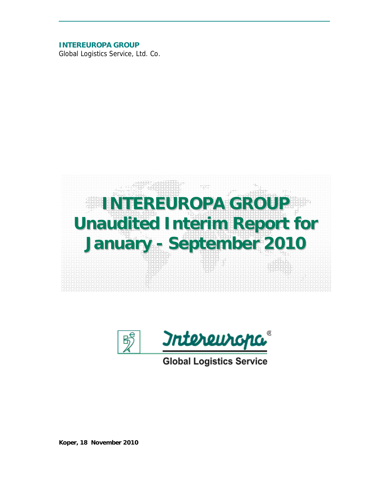**INTEREUROPA GROUP** 

Global Logistics Service, Ltd. Co.





**Global Logistics Service** 

*Koper, 18 November 2010*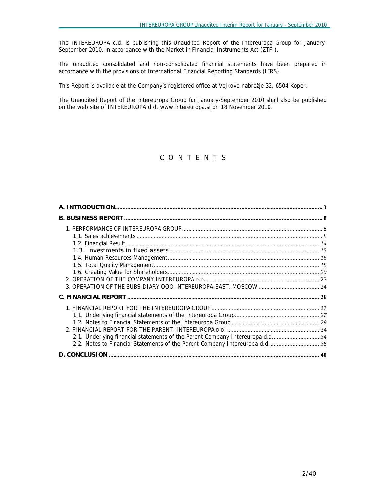The INTEREUROPA d.d. is publishing this Unaudited Report of the Intereuropa Group for January-September 2010, in accordance with the Market in Financial Instruments Act (ZTFI).

The unaudited consolidated and non-consolidated financial statements have been prepared in accordance with the provisions of International Financial Reporting Standards (IFRS).

This Report is available at the Company's registered office at Vojkovo nabrežje 32, 6504 Koper.

The Unaudited Report of the Intereuropa Group for January-September 2010 shall also be published on the web site of INTEREUROPA d.d. [www.intereuropa.si](http://www.intereuropa.si) on 18 November 2010.

# *C O N T E N T S*

| 2.1. Underlying financial statements of the Parent Company Intereuropa d.d 34 |  |
|-------------------------------------------------------------------------------|--|
| 2.2. Notes to Financial Statements of the Parent Company Intereuropa d.d.  36 |  |
|                                                                               |  |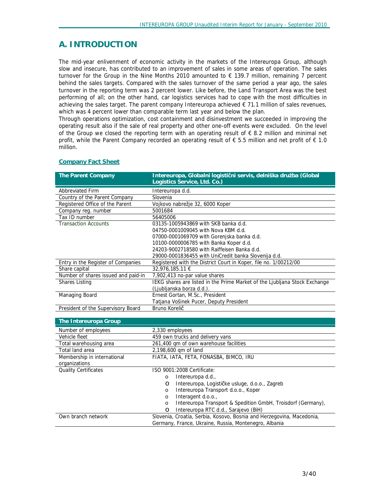# **A. INTRODUCTION**

The mid-year enlivenment of economic activity in the markets of the Intereuropa Group, although slow and insecure, has contributed to an improvement of sales in some areas of operation. The sales turnover for the Group in the Nine Months 2010 amounted to € 139.7 million, remaining 7 percent behind the sales targets. Compared with the sales turnover of the same period a year ago, the sales turnover in the reporting term was 2 percent lower. Like before, the Land Transport Area was the best performing of all; on the other hand, car logistics services had to cope with the most difficulties in achieving the sales target. The parent company Intereuropa achieved  $\epsilon$  71.1 million of sales revenues, which was 4 percent lower than comparable term last year and below the plan.

Through operations optimization, cost containment and disinvestment we succeeded in improving the operating result also if the sale of real property and other one-off events were excluded. On the level of the Group we closed the reporting term with an operating result of  $\epsilon$  8.2 million and minimal net profit, while the Parent Company recorded an operating result of  $\epsilon$  5.5 million and net profit of  $\epsilon$  1.0 million.

| <b>The Parent Company</b>           | Intereuropa, Globalni logistični servis, delniška družba (Global           |
|-------------------------------------|----------------------------------------------------------------------------|
|                                     | Logistics Service, Ltd. Co.)                                               |
| <b>Abbreviated Firm</b>             | Intereuropa d.d.                                                           |
| Country of the Parent Company       | Slovenia                                                                   |
| Registered Office of the Parent     | Vojkovo nabrežje 32, 6000 Koper                                            |
| Company reg. number                 | 5001684                                                                    |
| Tax ID number                       | 56405006                                                                   |
| <b>Transaction Accounts</b>         | 03135-1005943869 with SKB banka d.d.                                       |
|                                     | 04750-0001009045 with Nova KBM d.d.                                        |
|                                     | 07000-0001069709 with Gorenjska banka d.d.                                 |
|                                     | 10100-0000006785 with Banka Koper d.d.                                     |
|                                     | 24203-9002718580 with Raiffeisen Banka d.d.                                |
|                                     | 29000-0001836455 with UniCredit banka Slovenija d.d.                       |
| Entry in the Register of Companies  | Registered with the District Court in Koper, file no. 1/00212/00           |
| Share capital                       | 32.976.185.11 €                                                            |
| Number of shares issued and paid-in | 7,902,413 no-par value shares                                              |
| <b>Shares Listing</b>               | IEKG shares are listed in the Prime Market of the Ljubljana Stock Exchange |
|                                     | (Ljubljanska borza d.d.).                                                  |
| Managing Board                      | Ernest Gortan, M.Sc., President                                            |
|                                     | Tatjana Vošinek Pucer, Deputy President                                    |
| President of the Supervisory Board  | Bruno Korelič                                                              |
|                                     |                                                                            |
| The Intereuropa Group               |                                                                            |
| Number of employees                 | 2,330 employees                                                            |
| Vehicle fleet                       | 459 own trucks and delivery vans                                           |
| Total warehousing area              | 261,400 qm of own warehouse facilities                                     |
| Total land area                     | 2,198,600 gm of land                                                       |
| Membership in international         | FIATA, IATA, FETA, FONASBA, BIMCO, IRU                                     |
| organizations                       |                                                                            |

#### **Company Fact Sheet**

| THE THIE EUROPA OF OUP                       |                                                                       |
|----------------------------------------------|-----------------------------------------------------------------------|
| Number of employees                          | 2,330 employees                                                       |
| Vehicle fleet                                | 459 own trucks and delivery vans                                      |
| Total warehousing area                       | 261,400 gm of own warehouse facilities                                |
| Total land area                              | 2,198,600 gm of land                                                  |
| Membership in international<br>organizations | FIATA, IATA, FETA, FONASBA, BIMCO, IRU                                |
| <b>Quality Certificates</b>                  | ISO 9001:2008 Certificate:                                            |
|                                              | Intereuropa d.d.,<br>$\circ$                                          |
|                                              | Intereuropa, Logističke usluge, d.o.o., Zagreb<br>$\circ$             |
|                                              | Intereuropa Transport d.o.o., Koper<br>O                              |
|                                              | Interagent d.o.o.,<br>O                                               |
|                                              | Intereuropa Transport & Spedition GmbH, Troisdorf (Germany),<br>O     |
|                                              | Intereuropa RTC d.d., Sarajevo (BiH)<br>$\circ$                       |
| Own branch network                           | Slovenia, Croatia, Serbia, Kosovo, Bosnia and Herzegovina, Macedonia, |
|                                              | Germany, France, Ukraine, Russia, Montenegro, Albania                 |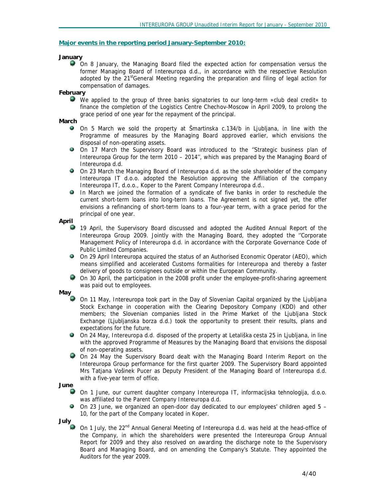#### **Major events in the reporting period January-September 2010:**

## *January*

On 8 January, the Managing Board filed the expected action for compensation versus the former Managing Board of Intereuropa d.d., in accordance with the respective Resolution adopted by the  $21<sup>st</sup>$ General Meeting regarding the preparation and filing of legal action for compensation of damages.

#### *February*

We applied to the group of three banks signatories to our long-term »club deal credit« to finance the completion of the Logistics Centre Chechov-Moscow in April 2009, to prolong the grace period of one year for the repayment of the principal.

#### *March*

- On 5 March we sold the property at Šmartinska c.134/b in Ljubljana, in line with the Programme of measures by the Managing Board approved earlier, which envisions the disposal of non-operating assets.
- $\bullet$ On 17 March the Supervisory Board was introduced to the ''Strategic business plan of Intereuropa Group for the term 2010 – 2014'', which was prepared by the Managing Board of Intereuropa d.d.
- 9 On 23 March the Managing Board of Intereuropa d.d. as the sole shareholder of the company Intereuropa IT d.o.o. adopted the Resolution approving the Affiliation of the company Intereuropa IT, d.o.o., Koper to the Parent Company Intereuropa d.d..
- $\bullet$ In March we joined the formation of a syndicate of five banks in order to reschedule the current short-term loans into long-term loans. The Agreement is not signed yet, the offer envisions a refinancing of short-term loans to a four-year term, with a grace period for the principal of one year.

#### *April*

- 19 April, the Supervisory Board discussed and adopted the Audited Annual Report of the Intereuropa Group 2009. Jointly with the Managing Board, they adopted the ''Corporate Management Policy of Intereuropa d.d. in accordance with the Corporate Governance Code of Public Limited Companies.
- On 29 April Intereuropa acquired the status of an Authorised Economic Operator (AEO), which means simplified and accelerated Customs formalities for Intereuropa and thereby a faster delivery of goods to consignees outside or within the European Community.
- On 30 April, the participation in the 2008 profit under the employee-profit-sharing agreement was paid out to employees.

## *May*

- On 11 May, Intereuropa took part in the Day of Slovenian Capital organized by the Ljubljana Stock Exchange in cooperation with the Clearing Depository Company (KDD) and other members; the Slovenian companies listed in the Prime Market of the Ljubljana Stock Exchange (Ljubljanska borza d.d.) took the opportunity to present their results, plans and expectations for the future.
- $\bullet$ On 24 May, Intereuropa d.d. disposed of the property at Letališka cesta 25 in Ljubljana, in line with the approved Programme of Measures by the Managing Board that envisions the disposal of non-operating assets.
- On 24 May the Supervisory Board dealt with the Managing Board Interim Report on the Intereuropa Group performance for the first quarter 2009. The Supervisory Board appointed Mrs Tatjana Vošinek Pucer as Deputy President of the Managing Board of Intereuropa d.d. with a five-year term of office.

#### *June*

- On 1 June, our current daughter company Intereuropa IT, informacijska tehnologija, d.o.o. was affiliated to the Parent Company Intereuropa d.d.
- On 23 June, we organized an open-door day dedicated to our employees' children aged 5 10, for the part of the Company located in Koper.

*July*

On 1 July, the 22<sup>nd</sup> Annual General Meeting of Intereuropa d.d. was held at the head-office of the Company, in which the shareholders were presented the Intereuropa Group Annual Report for 2009 and they also resolved on awarding the discharge note to the Supervisory Board and Managing Board, and on amending the Company's Statute. They appointed the Auditors for the year 2009.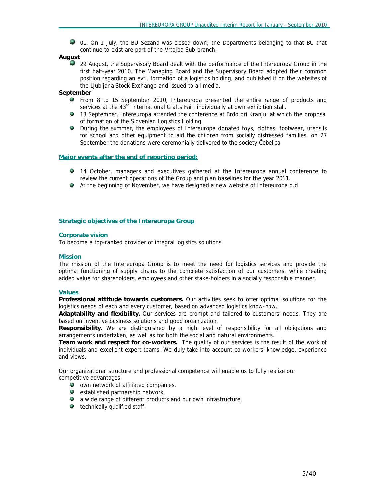01. On 1 July, the BU Sežana was closed down; the Departments belonging to that BU that continue to exist are part of the Vrtojba Sub-branch.

#### *August*

29 August, the Supervisory Board dealt with the performance of the Intereuropa Group in the first half-year 2010. The Managing Board and the Supervisory Board adopted their common position regarding an evtl. formation of a logistics holding, and published it on the websites of the Ljubljana Stock Exchange and issued to all media.

#### *September*

- From 8 to 15 September 2010, Intereuropa presented the entire range of products and services at the 43<sup>rd</sup> International Crafts Fair, individually at own exhibition stall.
- 13 September, Intereuropa attended the conference at Brdo pri Kranju, at which the proposal of formation of the Slovenian Logistics Holding.
- During the summer, the employees of Intereuropa donated toys, clothes, footwear, utensils for school and other equipment to aid the children from socially distressed families; on 27 September the donations were ceremonially delivered to the society Čebelica.

## **Major events after the end of reporting period:**

- 14 October, managers and executives gathered at the Intereuropa annual conference to review the current operations of the Group and plan baselines for the year 2011.
- At the beginning of November, we have designed a new website of Intereuropa d.d.

#### **Strategic objectives of the Intereuropa Group**

#### **Corporate vision**

To become a top-ranked provider of integral logistics solutions.

#### **Mission**

The mission of the Intereuropa Group is to meet the need for logistics services and provide the optimal functioning of supply chains to the complete satisfaction of our customers, while creating added value for shareholders, employees and other stake-holders in a socially responsible manner.

#### **Values**

**Professional attitude towards customers.** Our activities seek to offer optimal solutions for the logistics needs of each and every customer, based on advanced logistics know-how.

**Adaptability and flexibility.** Our services are prompt and tailored to customers' needs. They are based on inventive business solutions and good organization.

**Responsibility.** We are distinguished by a high level of responsibility for all obligations and arrangements undertaken, as well as for both the social and natural environments.

**Team work and respect for co-workers.** The quality of our services is the result of the work of individuals and excellent expert teams. We duly take into account co-workers' knowledge, experience and views.

Our organizational structure and professional competence will enable us to fully realize our competitive advantages:

- **O** own network of affiliated companies.
- $\bullet$  established partnership network,
- a wide range of different products and our own infrastructure,
- **technically qualified staff.**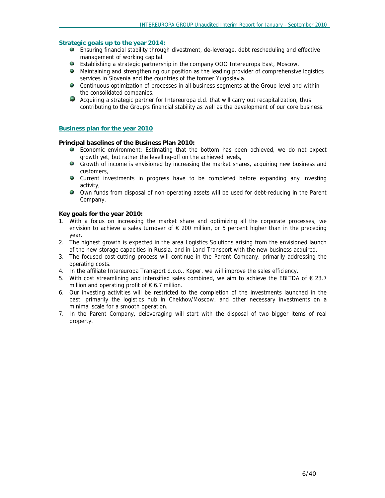#### **Strategic goals up to the year 2014:**

- Ensuring financial stability through divestment, de-leverage, debt rescheduling and effective management of working capital.
- Establishing a strategic partnership in the company OOO Intereuropa East, Moscow.
- Maintaining and strengthening our position as the leading provider of comprehensive logistics services in Slovenia and the countries of the former Yugoslavia.
- Continuous optimization of processes in all business segments at the Group level and within the consolidated companies.
- Acquiring a strategic partner for Intereuropa d.d. that will carry out recapitalization, thus contributing to the Group's financial stability as well as the development of our core business.

#### **Business plan for the year 2010**

**Principal baselines of the Business Plan 2010:** 

- Economic environment: Estimating that the bottom has been achieved, we do not expect growth yet, but rather the levelling-off on the achieved levels,
- Growth of income is envisioned by increasing the market shares, acquiring new business and customers,
- Current investments in progress have to be completed before expanding any investing activity,
- Own funds from disposal of non-operating assets will be used for debt-reducing in the Parent Company.

**Key goals for the year 2010:** 

- 1. With a focus on increasing the market share and optimizing all the corporate processes, we envision to achieve a sales turnover of  $\epsilon$  200 million, or 5 percent higher than in the preceding year.
- 2. The highest growth is expected in the area Logistics Solutions arising from the envisioned launch of the new storage capacities in Russia, and in Land Transport with the new business acquired.
- 3. The focused cost-cutting process will continue in the Parent Company, primarily addressing the operating costs.
- 4. In the affiliate Intereuropa Transport d.o.o., Koper, we will improve the sales efficiency.
- 5. With cost streamlining and intensified sales combined, we aim to achieve the EBITDA of € 23.7 million and operating profit of  $\epsilon$  6.7 million.
- 6. Our investing activities will be restricted to the completion of the investments launched in the past, primarily the logistics hub in Chekhov/Moscow, and other necessary investments on a minimal scale for a smooth operation.
- 7. In the Parent Company, deleveraging will start with the disposal of two bigger items of real property.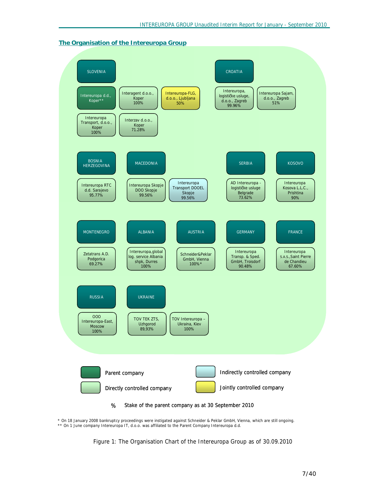#### **The Organisation of the Intereuropa Group**



\* On 18 January 2008 bankruptcy proceedings were instigated against Schneider & Peklar GmbH, Vienna, which are still ongoing. \*\* On 1 June company Intereuropa IT, d.o.o. was affiliated to the Parent Company Intereuropa d.d.

*Figure 1: The Organisation Chart of the Intereuropa Group as of 30.09.2010*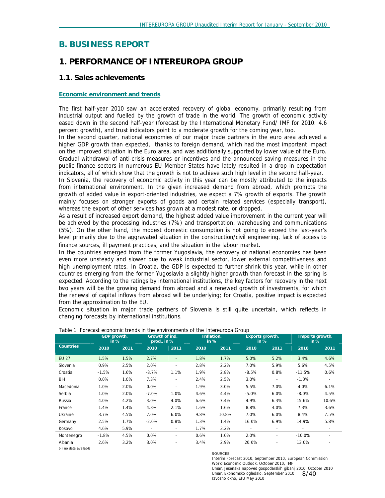# **B. BUSINESS REPORT**

# *1. PERFORMANCE OF INTEREUROPA GROUP*

## **1.1. Sales achievements**

#### **Economic environment and trends**

The first half-year 2010 saw an accelerated recovery of global economy, primarily resulting from industrial output and fuelled by the growth of trade in the world. The growth of economic activity eased down in the second half-year (forecast by the International Monetary Fund/ IMF for 2010: 4.6 percent growth), and trust indicators point to a moderate growth for the coming year, too.

In the second quarter, national economies of our major trade partners in the euro area achieved a higher GDP growth than expected, thanks to foreign demand, which had the most important impact on the improved situation in the Euro area, and was additionally supported by lower value of the Euro. Gradual withdrawal of anti-crisis measures or incentives and the announced saving measures in the public finance sectors in numerous EU Member States have lately resulted in a drop in expectation indicators, all of which show that the growth is not to achieve such high level in the second half-year.

In Slovenia, the recovery of economic activity in this year can be mostly attributed to the impacts from international environment. In the given increased demand from abroad, which prompts the growth of added value in export-oriented industries, we expect a 7% growth of exports. The growth mainly focuses on stronger exports of goods and certain related services (especially transport), whereas the export of other services has grown at a modest rate, or dropped.

As a result of increased export demand, the highest added value improvement in the current year will be achieved by the processing industries (7%) and transportation, warehousing and communications (5%). On the other hand, the modest domestic consumption is not going to exceed the last-year's level primarily due to the aggravated situation in the construction/civil engineering, lack of access to finance sources, ill payment practices, and the situation in the labour market.

In the countries emerged from the former Yugoslavia, the recovery of national economies has been even more unsteady and slower due to weak industrial sector, lower external competitiveness and high unemployment rates. In Croatia, the GDP is expected to further shrink this year, while in other countries emerging from the former Yugoslavia a slightly higher growth than forecast in the spring is expected. According to the ratings by international institutions, the key factors for recovery in the next two years will be the growing demand from abroad and a renewed growth of investments, for which the renewal of capital inflows from abroad will be underlying; for Croatia, positive impact is expected from the approximation to the EU.

Economic situation in major trade partners of Slovenia is still quite uncertain, which reflects in changing forecasts by international institutions.

|                  | GDP growth,<br>in % |      | Growth of ind.<br>prod., in % |                          | Inflation.<br>in % |       | Exports growth,<br>in % |                          | Imports growth,<br>in % |       |
|------------------|---------------------|------|-------------------------------|--------------------------|--------------------|-------|-------------------------|--------------------------|-------------------------|-------|
| <b>Countries</b> | 2010                | 2011 | 2010                          | 2011                     | 2010               | 2011  | 2010                    | 2011                     | 2010                    | 2011  |
| <b>EU 27</b>     | 1.5%                | 1.5% | 2.7%                          |                          | 1.8%               | 1.7%  | 5.0%                    | 5.2%                     | 3.4%                    | 4.6%  |
| Slovenia         | 0.9%                | 2.5% | 2.0%                          | ٠                        | 2.8%               | 2.2%  | 7.0%                    | 5.9%                     | 5.6%                    | 4.5%  |
| Croatia          | $-1.5%$             | 1.6% | $-8.7%$                       | 1.1%                     | 1.9%               | 2.8%  | $-8.5%$                 | 0.8%                     | $-11.5%$                | 0.6%  |
| BiH              | 0.0%                | 1.0% | 7.3%                          | $\overline{\phantom{a}}$ | 2.4%               | 2.5%  | 3.0%                    |                          | $-1.0%$                 |       |
| Macedonia        | 1.0%                | 2.0% | 0.0%                          |                          | 1.9%               | 3.0%  | 5.5%                    | 7.0%                     | 4.0%                    | 6.1%  |
| Serbia           | 1.0%                | 2.0% | $-7.0%$                       | 1.0%                     | 4.6%               | 4.4%  | $-5.0%$                 | 6.0%                     | $-8.0%$                 | 4.5%  |
| Russia           | 4.0%                | 4.2% | $3.0\%$                       | 4.0%                     | 6.6%               | 7.4%  | 4.9%                    | 6.3%                     | 15.6%                   | 10.6% |
| France           | 1.4%                | 1.4% | 4.8%                          | 2.1%                     | 1.6%               | 1.6%  | 8.8%                    | 4.0%                     | 7.3%                    | 3.6%  |
| Ukraine          | 3.7%                | 4.5% | 7.0%                          | 6.0%                     | 9.8%               | 10.8% | 7.0%                    | 6.0%                     | 8.4%                    | 7.5%  |
| Germany          | 2.5%                | 1.7% | $-2.0%$                       | 0.8%                     | 1.3%               | 1.4%  | 16.0%                   | 6.9%                     | 14.9%                   | 5.8%  |
| Kosovo           | 4.6%                | 5.9% |                               |                          | 1.7%               | 3.2%  |                         |                          |                         |       |
| Montenegro       | $-1.8%$             | 4.5% | $0.0\%$                       | $\overline{\phantom{a}}$ | 0.6%               | 1.0%  | 2.0%                    | $\overline{\phantom{a}}$ | $-10.0%$                |       |
| Albania          | 2.6%                | 3.2% | 3.0%                          |                          | 3.4%               | 2.9%  | 20.0%                   |                          | 13.0%                   |       |

*Table 1: Forecast economic trends in the environments of the Intereuropa Group* 

(-) no data available

#### SOURCES:

Umar, Ekonomsko ogledalo, September 2010 8/40 Interim Forecast 2010, September 2010, European Commission World Economic Outlook, October 2010, IMF Umar, Jesenska napoved gospodarskih gibanj 2010, October 2010 Izvozno okno, EIU May 2010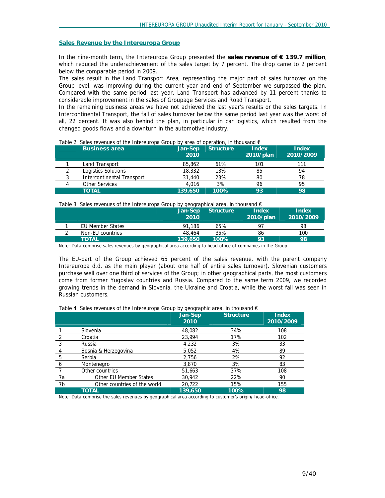#### **Sales Revenue by the Intereuropa Group**

In the nine-month term, the Intereuropa Group presented the **sales revenue of € 139.7 million**, which reduced the underachievement of the sales target by 7 percent. The drop came to 2 percent below the comparable period in 2009.

The sales result in the Land Transport Area, representing the major part of sales turnover on the Group level, was improving during the current year and end of September we surpassed the plan. Compared with the same period last year, Land Transport has advanced by 11 percent thanks to considerable improvement in the sales of Groupage Services and Road Transport.

In the remaining business areas we have not achieved the last year's results or the sales targets. In Intercontinental Transport, the fall of sales turnover below the same period last year was the worst of all, 22 percent. It was also behind the plan, in particular in car logistics, which resulted from the changed goods flows and a downturn in the automotive industry.

| <b>Business area</b>       | Jan-Sep<br>2010 | <b>Structure</b> | <b>Index</b><br>2010/plan | <b>Index</b><br>2010/2009 |
|----------------------------|-----------------|------------------|---------------------------|---------------------------|
| Land Transport             | 85,862          | 61%              | 101                       | 111                       |
| Logistics Solutions        | 18,332          | 13%              | 85                        | 94                        |
| Intercontinental Transport | 31,440          | 23%              | 80                        | 78                        |
| <b>Other Services</b>      | 4.016           | 3%               | 96                        | 95                        |
| <b>TOTAL</b>               | 139.650         | 100%             | 93                        | 98                        |

 $\overline{I}$ ghle *2:* Sales revenues of the Intereuropa Group by area of operation, in thousand  $\epsilon$ 

*Table 3: Sales revenues of the Intereuropa Group by geographical area, in thousand €* 

|                         | Jan-Sep<br>2010 | <b>Structure</b> | Index<br>2010/plan | <b>Index</b><br>2010/2009 |
|-------------------------|-----------------|------------------|--------------------|---------------------------|
| <b>EU Member States</b> | 91.186          | 65%              | Q7                 | 98                        |
| Non-EU countries        | 48,464          | 35%              | 86                 | 100                       |
| <b>TOTAL</b>            | 139,650         | 100%             | 93                 | 98                        |

Note: Data comprise sales revenues by geographical area according to head-office of companies in the Group.

The EU-part of the Group achieved 65 percent of the sales revenue, with the parent company Intereuropa d.d. as the main player (about one half of entire sales turnover). Slovenian customers purchase well over one third of services of the Group; in other geographical parts, the most customers come from former Yugoslav countries and Russia. Compared to the same term 2009, we recorded growing trends in the demand in Slovenia, the Ukraine and Croatia, while the worst fall was seen in Russian customers.

|    |                               | Jan-Sep<br>2010 | <b>Structure</b> | Index<br>2010/2009 |
|----|-------------------------------|-----------------|------------------|--------------------|
|    | Slovenia                      | 48,082          | 34%              | 108                |
|    | Croatia                       | 23,994          | 17%              | 102                |
| 3  | Russia                        | 4,232           | 3%               | 33                 |
| 4  | Bosnia & Herzegovina          | 5,052           | 4%               | 89                 |
| -5 | Serbia                        | 2,756           | 2%               | 92                 |
| 6  | Montenegro                    | 3,870           | 3%               | 83                 |
|    | Other countries               | 51,663          | 37%              | 108                |
| 7a | <b>Other EU Member States</b> | 30,942          | 22%              | 90                 |
| 7b | Other countries of the world  | 20,722          | 15%              | 155                |
|    | TOTAL                         | 139,650         | 100%             | 98                 |

Note: Data comprise the sales revenues by geographical area according to customer's origin/ head-office.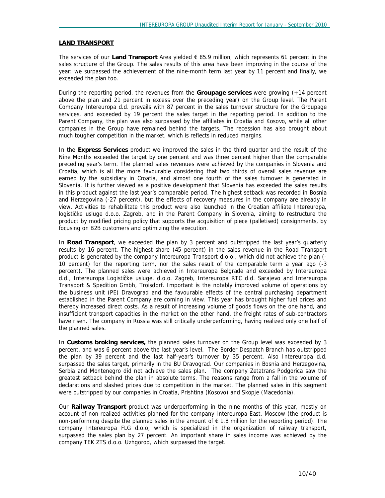#### **LAND TRANSPORT**

The services of our **Land Transport** Area yielded € 85.9 million, which represents 61 percent in the sales structure of the Group. The sales results of this area have been improving in the course of the year: we surpassed the achievement of the nine-month term last year by 11 percent and finally, we exceeded the plan too.

During the reporting period, the revenues from the **Groupage services** were growing (+14 percent above the plan and 21 percent in excess over the preceding year) on the Group level. The Parent Company Intereuropa d.d. prevails with 87 percent in the sales turnover structure for the Groupage services, and exceeded by 19 percent the sales target in the reporting period. In addition to the Parent Company, the plan was also surpassed by the affiliates in Croatia and Kosovo, while all other companies in the Group have remained behind the targets. The recession has also brought about much tougher competition in the market, which is reflects in reduced margins.

In the **Express Services** product we improved the sales in the third quarter and the result of the Nine Months exceeded the target by one percent and was three percent higher than the comparable preceding year's term. The planned sales revenues were achieved by the companies in Slovenia and Croatia, which is all the more favourable considering that two thirds of overall sales revenue are earned by the subsidiary in Croatia, and almost one fourth of the sales turnover is generated in Slovenia. It is further viewed as a positive development that Slovenia has exceeded the sales results in this product against the last year's comparable period. The highest setback was recorded in Bosnia and Herzegovina (-27 percent), but the effects of recovery measures in the company are already in view. Activities to rehabilitate this product were also launched in the Croatian affiliate Intereuropa, logističke usluge d.o.o. Zagreb, and in the Parent Company in Slovenia, aiming to restructure the product by modified pricing policy that supports the acquisition of piece (palletised) consignments, by focusing on B2B customers and optimizing the execution.

In **Road Transport**, we exceeded the plan by 3 percent and outstripped the last year's quarterly results by 16 percent. The highest share (45 percent) in the sales revenue in the Road Transport product is generated by the company Intereuropa Transport d.o.o., which did not achieve the plan (- 10 percent) for the reporting term, nor the sales result of the comparable term a year ago (-3 percent). The planned sales were achieved in Intereuropa Belgrade and exceeded by Intereuropa d.d., Intereuropa Logističke usluge, d.o.o. Zagreb, Intereuropa RTC d.d. Sarajevo and Intereuropa Transport & Spedition Gmbh, Troisdorf. Important is the notably improved volume of operations by the business unit (PE) Dravograd and the favourable effects of the central purchasing department established in the Parent Company are coming in view. This year has brought higher fuel prices and thereby increased direct costs. As a result of increasing volume of goods flows on the one hand, and insufficient transport capacities in the market on the other hand, the freight rates of sub-contractors have risen. The company in Russia was still critically underperforming, having realized only one half of the planned sales.

In **Customs broking services,** the planned sales turnover on the Group level was exceeded by 3 percent, and was 6 percent above the last year's level. The Border Despatch Branch has outstripped the plan by 39 percent and the last half-year's turnover by 35 percent. Also Intereuropa d.d. surpassed the sales target, primarily in the BU Dravograd. Our companies in Bosnia and Herzegovina, Serbia and Montenegro did not achieve the sales plan. The company Zetatrans Podgorica saw the greatest setback behind the plan in absolute terms. The reasons range from a fall in the volume of declarations and slashed prices due to competition in the market. The planned sales in this segment were outstripped by our companies in Croatia, Prishtina (Kosovo) and Skopje (Macedonia).

Our **Railway Transport** product was underperforming in the nine months of this year, mostly on account of non-realized activities planned for the company Intereuropa-East, Moscow (the product is non-performing despite the planned sales in the amount of € 1.8 million for the reporting period). The company Intereuropa FLG d.o.o, which is specialized in the organization of railway transport, surpassed the sales plan by 27 percent. An important share in sales income was achieved by the company TEK ZTS d.o.o. Uzhgorod, which surpassed the target.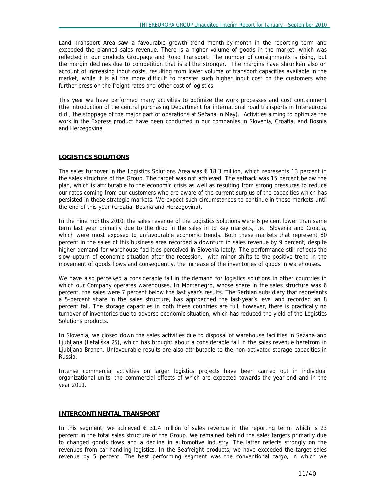Land Transport Area saw a favourable growth trend month-by-month in the reporting term and exceeded the planned sales revenue. There is a higher volume of goods in the market, which was reflected in our products Groupage and Road Transport. The number of consignments is rising, but the margin declines due to competition that is all the stronger. The margins have shrunken also on account of increasing input costs, resulting from lower volume of transport capacities available in the market, while it is all the more difficult to transfer such higher input cost on the customers who further press on the freight rates and other cost of logistics.

This year we have performed many activities to optimize the work processes and cost containment (the introduction of the central purchasing Department for international road transports in Intereuropa d.d., the stoppage of the major part of operations at Sežana in May). Activities aiming to optimize the work in the Express product have been conducted in our companies in Slovenia, Croatia, and Bosnia and Herzegovina.

#### **LOGISTICS SOLUTIONS**

The sales turnover in the Logistics Solutions Area was € 18.3 million, which represents 13 percent in the sales structure of the Group. The target was not achieved. The setback was 15 percent below the plan, which is attributable to the economic crisis as well as resulting from strong pressures to reduce our rates coming from our customers who are aware of the current surplus of the capacities which has persisted in these strategic markets. We expect such circumstances to continue in these markets until the end of this year (Croatia, Bosnia and Herzegovina).

In the nine months 2010, the sales revenue of the Logistics Solutions were 6 percent lower than same term last year primarily due to the drop in the sales in to key markets, i.e. Slovenia and Croatia, which were most exposed to unfavourable economic trends. Both these markets that represent 80 percent in the sales of this business area recorded a downturn in sales revenue by 9 percent, despite higher demand for warehouse facilities perceived in Slovenia lately. The performance still reflects the slow upturn of economic situation after the recession, with minor shifts to the positive trend in the movement of goods flows and consequently, the increase of the inventories of goods in warehouses.

We have also perceived a considerable fall in the demand for logistics solutions in other countries in which our Company operates warehouses. In Montenegro, whose share in the sales structure was 6 percent, the sales were 7 percent below the last year's results. The Serbian subsidiary that represents a 5-percent share in the sales structure, has approached the last-year's level and recorded an 8 percent fall. The storage capacities in both these countries are full, however, there is practically no turnover of inventories due to adverse economic situation, which has reduced the yield of the Logistics Solutions products.

In Slovenia, we closed down the sales activities due to disposal of warehouse facilities in Sežana and Ljubljana (Letališka 25), which has brought about a considerable fall in the sales revenue herefrom in Ljubljana Branch. Unfavourable results are also attributable to the non-activated storage capacities in Russia.

Intense commercial activities on larger logistics projects have been carried out in individual organizational units, the commercial effects of which are expected towards the year-end and in the year 2011.

#### **INTERCONTINENTAL TRANSPORT**

In this segment, we achieved  $\epsilon$  31.4 million of sales revenue in the reporting term, which is 23 percent in the total sales structure of the Group. We remained behind the sales targets primarily due to changed goods flows and a decline in automotive industry. The latter reflects strongly on the revenues from car-handling logistics. In the Seafreight products, we have exceeded the target sales revenue by 5 percent. The best performing segment was the conventional cargo, in which we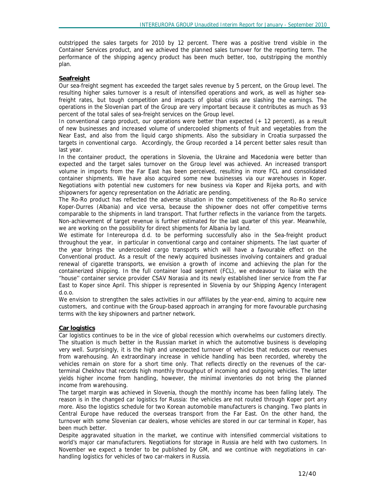outstripped the sales targets for 2010 by 12 percent. There was a positive trend visible in the Container Services product, and we achieved the planned sales turnover for the reporting term. The performance of the shipping agency product has been much better, too, outstripping the monthly plan.

## **Seafreight**

Our sea-freight segment has exceeded the target sales revenue by 5 percent, on the Group level. The resulting higher sales turnover is a result of intensified operations and work, as well as higher seafreight rates, but tough competition and impacts of global crisis are slashing the earnings. The operations in the Slovenian part of the Group are very important because it contributes as much as 93 percent of the total sales of sea-freight services on the Group level.

In conventional cargo product, our operations were better than expected (+ 12 percent), as a result of new businesses and increased volume of undercooled shipments of fruit and vegetables from the Near East, and also from the liquid cargo shipments. Also the subsidiary in Croatia surpassed the targets in conventional cargo. Accordingly, the Group recorded a 14 percent better sales result than last year.

In the container product, the operations in Slovenia, the Ukraine and Macedonia were better than expected and the target sales turnover on the Group level was achieved. An increased transport volume in imports from the Far East has been perceived, resulting in more FCL and consolidated container shipments. We have also acquired some new businesses via our warehouses in Koper. Negotiations with potential new customers for new business via Koper and Rijeka ports, and with shipowners for agency representation on the Adriatic are pending.

The Ro-Ro product has reflected the adverse situation in the competitiveness of the Ro-Ro service Koper-Durres (Albania) and vice versa, because the shipowner does not offer competitive terms comparable to the shipments in land transport. That further reflects in the variance from the targets. Non-achievement of target revenue is further estimated for the last quarter of this year. Meanwhile, we are working on the possibility for direct shipments for Albania by land.

We estimate for Intereuropa d.d. to be performing successfully also in the Sea-freight product throughout the year, in particular in conventional cargo and container shipments. The last quarter of the year brings the undercooled cargo transports which will have a favourable effect on the Conventional product. As a result of the newly acquired businesses involving containers and gradual renewal of cigarette transports, we envision a growth of income and achieving the plan for the containerized shipping. In the full container load segment (FCL), we endeavour to liaise with the ''house'' container service provider CSAV Norasia and its newly established liner service from the Far East to Koper since April. This shipper is represented in Slovenia by our Shipping Agency Interagent d.o.o.

We envision to strengthen the sales activities in our affiliates by the year-end, aiming to acquire new customers, and continue with the Group-based approach in arranging for more favourable purchasing terms with the key shipowners and partner network.

## **Car logistics**

Car logistics continues to be in the vice of global recession which overwhelms our customers directly. The situation is much better in the Russian market in which the automotive business is developing very well. Surprisingly, it is the high and unexpected turnover of vehicles that reduces our revenues from warehousing. An extraordinary increase in vehicle handling has been recorded, whereby the vehicles remain on store for a short time only. That reflects directly on the revenues of the carterminal Chekhov that records high monthly throughput of incoming and outgoing vehicles. The latter yields higher income from handling, however, the minimal inventories do not bring the planned income from warehousing.

The target margin was achieved in Slovenia, though the monthly income has been falling lately. The reason is in the changed car logistics for Russia: the vehicles are not routed through Koper port any more. Also the logistics schedule for two Korean automobile manufacturers is changing. Two plants in Central Europe have reduced the overseas transport from the Far East. On the other hand, the turnover with some Slovenian car dealers, whose vehicles are stored in our car terminal in Koper, has been much better.

Despite aggravated situation in the market, we continue with intensified commercial visitations to world's major car manufacturers. Negotiations for storage in Russia are held with two customers. In November we expect a tender to be published by GM, and we continue with negotiations in carhandling logistics for vehicles of two car-makers in Russia.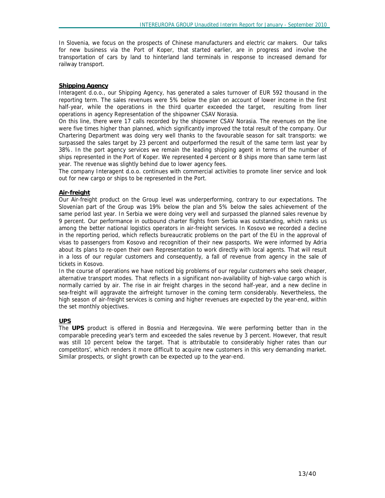In Slovenia, we focus on the prospects of Chinese manufacturers and electric car makers. Our talks for new business via the Port of Koper, that started earlier, are in progress and involve the transportation of cars by land to hinterland land terminals in response to increased demand for railway transport.

#### **Shipping Agency**

Interagent d.o.o., our Shipping Agency, has generated a sales turnover of EUR 592 thousand in the reporting term. The sales revenues were 5% below the plan on account of lower income in the first half-year, while the operations in the third quarter exceeded the target, resulting from liner operations in agency Representation of the shipowner CSAV Norasia.

On this line, there were 17 calls recorded by the shipowner CSAV Norasia. The revenues on the line were five times higher than planned, which significantly improved the total result of the company. Our Chartering Department was doing very well thanks to the favourable season for salt transports: we surpassed the sales target by 23 percent and outperformed the result of the same term last year by 38%. In the port agency services we remain the leading shipping agent in terms of the number of ships represented in the Port of Koper. We represented 4 percent or 8 ships more than same term last year. The revenue was slightly behind due to lower agency fees.

The company Interagent d.o.o. continues with commercial activities to promote liner service and look out for new cargo or ships to be represented in the Port.

#### **Air-freight**

Our Air-freight product on the Group level was underperforming, contrary to our expectations. The Slovenian part of the Group was 19% below the plan and 5% below the sales achievement of the same period last year. In Serbia we were doing very well and surpassed the planned sales revenue by 9 percent. Our performance in outbound charter flights from Serbia was outstanding, which ranks us among the better national logistics operators in air-freight services. In Kosovo we recorded a decline in the reporting period, which reflects bureaucratic problems on the part of the EU in the approval of visas to passengers from Kosovo and recognition of their new passports. We were informed by Adria about its plans to re-open their own Representation to work directly with local agents. That will result in a loss of our regular customers and consequently, a fall of revenue from agency in the sale of tickets in Kosovo.

In the course of operations we have noticed big problems of our regular customers who seek cheaper, alternative transport modes. That reflects in a significant non-availability of high-value cargo which is normally carried by air. The rise in air freight charges in the second half-year, and a new decline in sea-freight will aggravate the airfreight turnover in the coming term considerably. Nevertheless, the high season of air-freight services is coming and higher revenues are expected by the year-end, within the set monthly objectives.

## **UPS**

The **UPS** product is offered in Bosnia and Herzegovina. We were performing better than in the comparable preceding year's term and exceeded the sales revenue by 3 percent. However, that result was still 10 percent below the target. That is attributable to considerably higher rates than our competitors', which renders it more difficult to acquire new customers in this very demanding market. Similar prospects, or slight growth can be expected up to the year-end.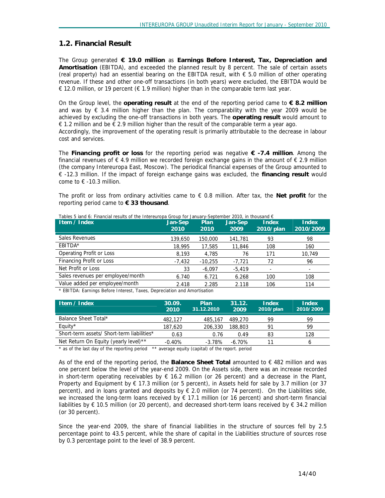## **1.2. Financial Result**

The Group generated **€ 19.0 million** as **Earnings Before Interest, Tax, Depreciation and Amortisation** (EBITDA), and exceeded the planned result by 8 percent. The sale of certain assets (real property) had an essential bearing on the EBITDA result, with  $\epsilon$  5.0 million of other operating revenue. If these and other one-off transactions (in both years) were excluded, the EBITDA would be € 12.0 million, or 19 percent (€ 1.9 million) higher than in the comparable term last year.

On the Group level, the **operating result** at the end of the reporting period came to **€ 8.2 million** and was by  $\epsilon$  3.4 million higher than the plan. The comparability with the year 2009 would be achieved by excluding the one-off transactions in both years. The **operating result** would amount to € 1.2 million and be  $\epsilon$  2.9 million higher than the result of the comparable term a year ago. Accordingly, the improvement of the operating result is primarily attributable to the decrease in labour cost and services.

The **Financing profit or loss** for the reporting period was negative **€ -7.4 million**. Among the financial revenues of  $\epsilon$  4.9 million we recorded foreign exchange gains in the amount of  $\epsilon$  2.9 million (the company Intereuropa East, Moscow). The periodical financial expenses of the Group amounted to € -12.3 million. If the impact of foreign exchange gains was excluded, the **financing result** would come to  $f = 10.3$  million.

The profit or loss from ordinary activities came to € 0.8 million. After tax, the **Net profit** for the reporting period came to **€ 33 thousand**.

| Item / Index                      | Jan-Sep<br>2010 | Plan<br>2010                                                             | Jan-Sep<br>2009 | <b>Index</b><br>2010/plan | Index<br>2010/2009 |  |  |  |  |  |  |
|-----------------------------------|-----------------|--------------------------------------------------------------------------|-----------------|---------------------------|--------------------|--|--|--|--|--|--|
| <b>Sales Revenues</b>             | 139,650         | 150,000                                                                  | 141,781         | 93                        | 98                 |  |  |  |  |  |  |
| EBITDA*                           | 18,995          | 17,585                                                                   | 11,846          | 108                       | 160                |  |  |  |  |  |  |
| <b>Operating Profit or Loss</b>   | 8.193           | 4.785                                                                    | 76              | 171                       | 10,749             |  |  |  |  |  |  |
| Financing Profit or Loss          | $-7.432$        | $-10.255$                                                                | -7.721          | 72                        | 96                 |  |  |  |  |  |  |
| Net Profit or Loss                | 33              | $-6.097$                                                                 | $-5.419$        |                           |                    |  |  |  |  |  |  |
| Sales revenues per employee/month | 6.740           | 6.721                                                                    | 6.268           | 100                       | 108                |  |  |  |  |  |  |
| Value added per employee/month    | 2.418           | 2.285                                                                    | 2.118           | 106                       | 114                |  |  |  |  |  |  |
|                                   |                 | * EDITOA: Fornings Defere Interest, Tayes, Depresiation and Amertication |                 |                           |                    |  |  |  |  |  |  |

*Tables 5 iand 6: Financial results of the Intereuropa Group for January-September 2010, in thousand €* 

*\* EBITDA: Earnings Before Interest, Taxes, Depreciation and Amortisation* 

| Item / Index                               | 30.09.<br>2010 | Plan<br>31.12.2010 | 31.12.<br>2009 | Index<br>2010/plan | <b>Index</b><br>2010/2009 |
|--------------------------------------------|----------------|--------------------|----------------|--------------------|---------------------------|
| Balance Sheet Total*                       | 482.127        | 485,167            | 489,270        | 99                 | 99                        |
| Equity*                                    | 187,620        | 206,330            | 188,803        | 91                 | 99                        |
| Short-term assets/ Short-term liabilities* | 0.63           | 0.76               | 0.49           | 83                 | 128                       |
| Net Return On Equity (yearly level)**      | $-0.40%$       | $-3.78\%$          | $-6.70%$       | 11                 |                           |

*\* as of the last day of the reporting period \*\* average equity (capital) of the report. period* 

As of the end of the reporting period, the **Balance Sheet Total** amounted to € 482 million and was one percent below the level of the year-end 2009. On the Assets side, there was an increase recorded in short-term operating receivables by  $\epsilon$  16.2 million (or 26 percent) and a decrease in the Plant, Property and Equipment by  $\epsilon$  17.3 million (or 5 percent), in Assets held for sale by 3.7 million (or 37 percent), and in loans granted and deposits by € 2.0 million (or 74 percent). On the Liabilities side, we increased the long-term loans received by € 17.1 million (or 16 percent) and short-term financial liabilities by € 10.5 million (or 20 percent), and decreased short-term loans received by € 34.2 million (or 30 percent).

Since the year-end 2009, the share of financial liabilities in the structure of sources fell by 2.5 percentage point to 43.5 percent, while the share of capital in the Liabilities structure of sources rose by 0.3 percentage point to the level of 38.9 percent.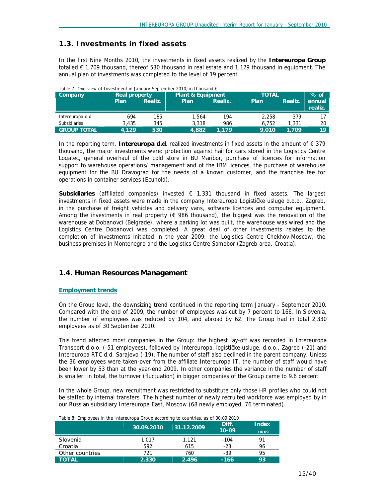# **1.3. Investments in fixed assets**

In the first Nine Months 2010, the investments in fixed assets realized by the **Intereuropa Group**  totalled € 1,709 thousand, thereof 530 thousand in real estate and 1,179 thousand in equipment. The annual plan of investments was completed to the level of 19 percent.

| Table 7: Overview of thyestment in January-September 2010, in thousand $\epsilon$ |               |         |                              |              |        |         |                   |
|-----------------------------------------------------------------------------------|---------------|---------|------------------------------|--------------|--------|---------|-------------------|
| Company                                                                           | Real property |         | <b>Plant &amp; Equipment</b> | <b>TOTAL</b> | $%$ of |         |                   |
|                                                                                   | 'Plan         | Realiz. | Plan                         | Realiz.      | Plan   | Realiz. | annual<br>realiz. |
| Intereuropa d.d.                                                                  | 694           | 185     | 564، ا                       | 194          | 2.258  | 379     |                   |
| <b>Subsidiaries</b>                                                               | 3,435         | 345     | 3.318                        | 986          | 6.752  | 1,331   | 20                |
| <b>GROUP TOTAL</b>                                                                | 4.129         | 530     | 4.882                        | 1.179'       | 9.010  | 1.709   | 19                |

*Table 7: Overview of Investment in January-September 2010, in thousand €* 

In the reporting term, **Intereuropa d.d**. realized investments in fixed assets in the amount of € 379 thousand, the major investments were: protection against hail for cars stored in the Logistics Centre Logatec, general overhaul of the cold store in BU Maribor, purchase of licences for information support to warehouse operations/ management and of the IBM licences, the purchase of warehouse equipment for the BU Dravograd for the needs of a known customer, and the franchise fee for operations in container services (Ecuhold).

**Subsidiaries** (affiliated companies) invested € 1,331 thousand in fixed assets. The largest investments in fixed assets were made in the company Intereuropa Logističke usluge d.o.o., Zagreb, in the purchase of freight vehicles and delivery vans, software licences and computer equipment. Among the investments in real property ( $\epsilon$  986 thousand), the biggest was the renovation of the warehouse at Dobanovci (Belgrade), where a parking lot was built, the warehouse was wired and the Logistics Centre Dobanovci was completed. A great deal of other investments relates to the completion of investments initiated in the year 2009: the Logistics Centre Chekhov-Moscow, the business premises in Montenegro and the Logistics Centre Samobor (Zagreb area, Croatia).

# **1.4. Human Resources Management**

## **Employment trends**

On the Group level, the downsizing trend continued in the reporting term January - September 2010. Compared with the end of 2009, the number of employees was cut by 7 percent to 166. In Slovenia, the number of employees was reduced by 104, and abroad by 62. The Group had in total 2,330 employees as of 30 September 2010.

This trend affected most companies in the Group: the highest lay-off was recorded in Intereuropa Transport d.o.o. (-51 employees), followed by Intereuropa, logističke usluge, d.o.o., Zagreb (-21) and Intereuropa RTC d.d. Sarajevo (-19). The number of staff also declined in the parent company. Unless the 36 employees were taken-over from the affiliate Intereuropa IT, the number of staff would have been lower by 53 than at the year-end 2009. In other companies the variance in the number of staff is smaller: in total, the turnover (fluctuation) in bigger companies of the Group came to 9.6 percent.

In the whole Group, new recruitment was restricted to substitute only those HR profiles who could not be staffed by internal transfers. The highest number of newly recruited workforce was employed by in our Russian subsidiary Intereuropa East, Moscow (68 newly employed, 76 terminated).

| Table 8: Employees in the Intereuropa Group according to countries, as of 30.09.2010 |            |            |                    |                       |  |  |  |  |
|--------------------------------------------------------------------------------------|------------|------------|--------------------|-----------------------|--|--|--|--|
|                                                                                      | 30.09.2010 | 31.12.2009 | Diff.<br>$10 - 09$ | <b>Index</b><br>10/09 |  |  |  |  |
| Slovenia                                                                             | 1.017      | 1.121      | $-104$             | 91                    |  |  |  |  |
| Croatia                                                                              | 592        | 615        | $-23$              | 96                    |  |  |  |  |
| Other countries                                                                      | 721        | 760        | $-39$              | 95                    |  |  |  |  |
| <b>TOTAL</b>                                                                         | 2.330      | 2.496      | $-166$             | 93                    |  |  |  |  |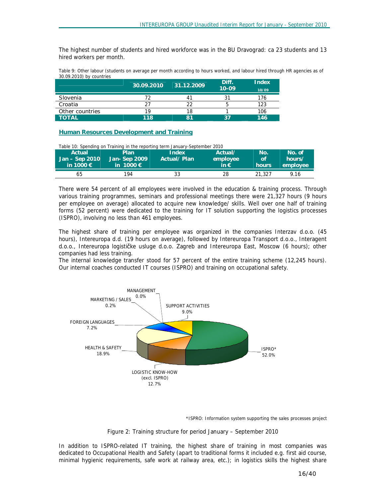The highest number of students and hired workforce was in the BU Dravograd: ca 23 students and 13 hired workers per month.

Table 9: Other labour (students on average per month according to hours worked, and labour hired through HR agencies as of *30.09.2010) by countries* 

|                 | 30.09.2010 | 31.12.2009 | Diff.<br>$10 - 09$ | <b>Index</b><br>10/09 |
|-----------------|------------|------------|--------------------|-----------------------|
| Slovenia        |            |            |                    | 176                   |
| Croatia         | วา         | າາ         |                    | 123                   |
| Other countries | 10         | 18         |                    | 106                   |
| <b>TOTAL</b>    | 118        | 81         | 37                 | 146                   |

**Human Resources Development and Training**

*Table 10: Spending on Training in the reporting term January-September 2010* 

| Actual<br>Jan - Sep 2010<br>in 1000 $\epsilon$ | Plan<br>Jan- Sep 2009<br>in 1000 $\epsilon$ | Index<br>Actual/Plan | Actual/<br>employee<br>in $\epsilon$ | No.<br>/of<br>hours | 'No. of.<br>hours/<br>employee |
|------------------------------------------------|---------------------------------------------|----------------------|--------------------------------------|---------------------|--------------------------------|
| 65                                             | 194                                         | 33                   | 28                                   | 21,327              | 9.16                           |

There were 54 percent of all employees were involved in the education & training process. Through various training programmes, seminars and professional meetings there were 21,327 hours (9 hours per employee on average) allocated to acquire new knowledge/ skills. Well over one half of training forms (52 percent) were dedicated to the training for IT solution supporting the logistics processes (ISPRO), involving no less than 461 employees.

The highest share of training per employee was organized in the companies Interzav d.o.o. (45 hours), Intereuropa d.d. (19 hours on average), followed by Intereuropa Transport d.o.o., Interagent d.o.o., Intereuropa logističke usluge d.o.o. Zagreb and Intereuropa East, Moscow (6 hours); other companies had less training.

The internal knowledge transfer stood for 57 percent of the entire training scheme (12,245 hours). Our internal coaches conducted IT courses (ISPRO) and training on occupational safety.



\*ISPRO: Information system supporting the sales processes project

#### *Figure 2: Training structure for period January – September 2010*

In addition to ISPRO-related IT training, the highest share of training in most companies was dedicated to Occupational Health and Safety (apart to traditional forms it included e.g. first aid course, minimal hygienic requirements, safe work at railway area, etc.); in logistics skills the highest share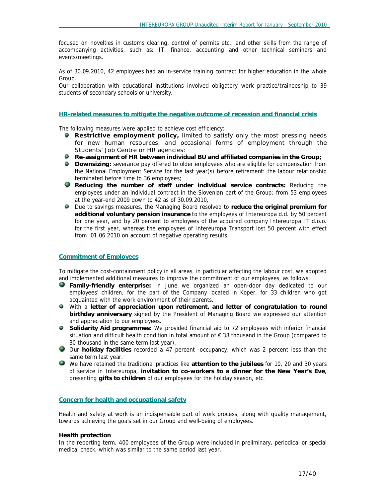focused on novelties in customs clearing, control of permits etc., and other skills from the range of accompanying activities, such as: IT, finance, accounting and other technical seminars and events/meetings.

As of 30.09.2010, 42 employees had an in-service training contract for higher education in the whole Group.

Our collaboration with educational institutions involved obligatory work practice/traineeship to 39 students of secondary schools or university.

#### **HR-related measures to mitigate the negative outcome of recession and financial crisis**

The following measures were applied to achieve cost efficiency:

- **Restrictive employment policy,** limited to satisfy only the most pressing needs for new human resources, and occasional forms of employment through the Students' Job Centre or HR agencies:
- **Re-assignment of HR between individual BU and affiliated companies in the Group;**
- **Downsizing:** severance pay offered to older employees who are eligible for compensation from the National Employment Service for the last year(s) before retirement: the labour relationship terminated before time to 36 employees;
- **Reducing the number of staff under individual service contracts:** Reducing the employees under an individual contract in the Slovenian part of the Group: from 53 employees at the year-end 2009 down to 42 as of 30.09.2010,
- Due to savings measures, the Managing Board resolved to **reduce the original premium for additional voluntary pension insurance** to the employees of Intereuropa d.d. by 50 percent for one year, and by 20 percent to employees of the acquired company Intereuropa IT d.o.o. for the first year, whereas the employees of Intereuropa Transport lost 50 percent with effect from 01.06.2010 on account of negative operating results.

#### **Commitment of Employees**

To mitigate the cost-containment policy in all areas, in particular affecting the labour cost, we adopted and implemented additional measures to improve the commitment of our employees, as follows:

- **Family-friendly enterprise:** In June we organized an open-door day dedicated to our employees' children, for the part of the Company located in Koper, for 33 children who got acquainted with the work environment of their parents.
- With a **letter of appreciation upon retirement, and letter of congratulation to round birthday anniversary** signed by the President of Managing Board we expressed our attention and appreciation to our employees.
- **Solidarity Aid programmes:** We provided financial aid to 72 employees with inferior financial situation and difficult health condition in total amount of € 38 thousand in the Group (compared to 30 thousand in the same term last year).
- Our **holiday facilities** recorded a 47 percent -occupancy, which was 2 percent less than the same term last year.
- We have retained the traditional practices like **attention to the jubilees** for 10, 20 and 30 years of service in Intereuropa, **invitation to co-workers to a dinner for the New Year's Eve**, presenting **gifts to children** of our employees for the holiday season, etc.

#### **Concern for health and occupational safety**

Health and safety at work is an indispensable part of work process, along with quality management, towards achieving the goals set in our Group and well-being of employees.

#### **Health protection**

In the reporting term, 400 employees of the Group were included in preliminary, periodical or special medical check, which was similar to the same period last year.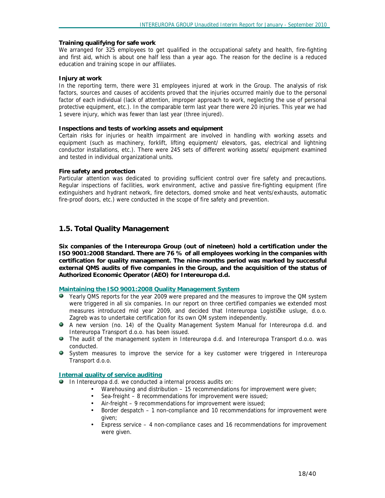#### **Training qualifying for safe work**

We arranged for 325 employees to get qualified in the occupational safety and health, fire-fighting and first aid, which is about one half less than a year ago. The reason for the decline is a reduced education and training scope in our affiliates.

#### **Injury at work**

In the reporting term, there were 31 employees injured at work in the Group. The analysis of risk factors, sources and causes of accidents proved that the injuries occurred mainly due to the personal factor of each individual (lack of attention, improper approach to work, neglecting the use of personal protective equipment, etc.). In the comparable term last year there were 20 injuries. This year we had 1 severe injury, which was fewer than last year (three injured).

#### **Inspections and tests of working assets and equipment**

Certain risks for injuries or health impairment are involved in handling with working assets and equipment (such as machinery, forklift, lifting equipment/ elevators, gas, electrical and lightning conductor installations, etc.). There were 245 sets of different working assets/ equipment examined and tested in individual organizational units.

#### **Fire safety and protection**

Particular attention was dedicated to providing sufficient control over fire safety and precautions. Regular inspections of facilities, work environment, active and passive fire-fighting equipment (fire extinguishers and hydrant network, fire detectors, domed smoke and heat vents/exhausts, automatic fire-proof doors, etc.) were conducted in the scope of fire safety and prevention.

# **1.5. Total Quality Management**

**Six companies of the Intereuropa Group (out of nineteen) hold a certification under the ISO 9001:2008 Standard. There are 76 % of all employees working in the companies with certification for quality management. The nine-months period was marked by successful external QMS audits of five companies in the Group, and the acquisition of the status of Authorized Economic Operator (AEO) for Intereuropa d.d.**

#### **Maintaining the ISO 9001:2008 Quality Management System**

- Yearly QMS reports for the year 2009 were prepared and the measures to improve the QM system were triggered in all six companies. In our report on three certified companies we extended most measures introduced mid year 2009, and decided that Intereuropa Logističke usluge, d.o.o. Zagreb was to undertake certification for its own QM system independently.
- A new version (no. 14) of the Quality Management System Manual for Intereuropa d.d. and Intereuropa Transport d.o.o. has been issued.
- The audit of the management system in Intereuropa d.d. and Intereuropa Transport d.o.o. was conducted.
- System measures to improve the service for a key customer were triggered in Intereuropa Transport d.o.o.

## **Internal quality of service auditing**

In Intereuropa d.d. we conducted a internal process audits on:

- Warehousing and distribution 15 recommendations for improvement were given;
- Sea-freight 8 recommendations for improvement were issued;
- Air-freight 9 recommendations for improvement were issued;
- Border despatch 1 non-compliance and 10 recommendations for improvement were given;
- Express service 4 non-compliance cases and 16 recommendations for improvement were given.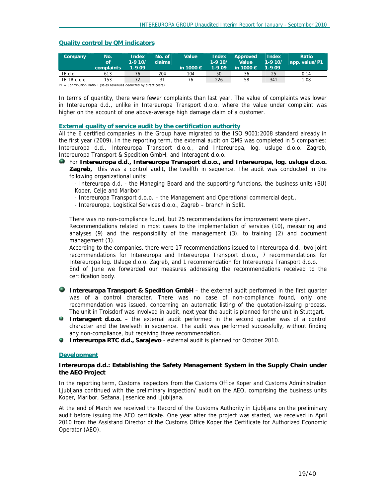#### **Quality control by QM indicators**

| Company                                                             | No.<br>of.<br>complaints | Index<br>$1-910/$<br>1-909 | No. of<br>claims | Value<br>in 1000 $\epsilon$ | <b>Index</b><br>$1-910/$<br>$1-909$ | Approved<br><b>Value</b><br>in 1000 $\in$ | Index<br>$1-910/$<br>1-9 09 | Ratio<br>app. value/P1 |
|---------------------------------------------------------------------|--------------------------|----------------------------|------------------|-----------------------------|-------------------------------------|-------------------------------------------|-----------------------------|------------------------|
| IE d.d.                                                             | 613                      | 76                         | 204              | 104                         | 50                                  | 36                                        | 25                          | 0.14                   |
| IE TR d.o.o.                                                        | 153                      | 72                         | 31               | 76                          | 226                                 | 58                                        | 341                         | 1.08                   |
| D1 - Contribution Datio 1 (sales revenues deducted by direct costs) |                          |                            |                  |                             |                                     |                                           |                             |                        |

Contribution Ratio 1 (sales revenues deducted by direct costs)

In terms of quantity, there were fewer complaints than last year. The value of complaints was lower in Intereuropa d.d., unlike in Intereuropa Transport d.o.o. where the value under complaint was higher on the account of one above-average high damage claim of a customer.

#### **External quality of service audit by the certification authority**

All the 6 certified companies in the Group have migrated to the ISO 9001:2008 standard already in the first year (2009). In the reporting term, the external audit on QMS was completed in 5 companies: Intereuropa d.d., Intereuropa Transport d.o.o., and Intereuropa, log. usluge d.o.o. Zagreb, Intereuropa Transport & Spedition GmbH, and Interagent d.o.o.

For **Intereuropa d.d., Intereuropa Transport d.o.o., and Intereuropa, log. usluge d.o.o. Zagreb,** this was a control audit, the twelfth in sequence. The audit was conducted in the following organizational units:

- Intereuropa d.d. - the Managing Board and the supporting functions, the business units (BU) Koper, Celje and Maribor

- Intereuropa Transport d.o.o. – the Management and Operational commercial dept.,

- Intereuropa, Logistical Services d.o.o., Zagreb – branch in Split.

There was no non-compliance found, but 25 recommendations for improvement were given.

Recommendations related in most cases to the implementation of services (10), measuring and analyses (9) and the responsibility of the management (3), to training (2) and document management (1).

According to the companies, there were 17 recommendations issued to Intereuropa d.d., two joint recommendations for Intereuropa and Intereuropa Transport d.o.o., 7 recommendations for Intereuropa log. Usluge d.o.o. Zagreb, and 1 recommendation for Intereuropa Transport d.o.o. End of June we forwarded our measures addressing the recommendations received to the certification body.

**Intereuropa Transport & Spedition GmbH** – the external audit performed in the first quarter was of a control character. There was no case of non-compliance found, only one recommendation was issued, concerning an automatic listing of the quotation-issuing process. The unit in Troisdorf was involved in audit, next year the audit is planned for the unit in Stuttgart.

- **Interagent d.o.o.** the external audit performed in the second quarter was of a control character and the twelveth in sequence. The audit was performed successfully, without finding any non-compliance, but receiving three recommendation.
- **Intereuropa RTC d.d., Sarajevo** external audit is planned for October 2010.

#### **Development**

**Intereuropa d.d.: Establishing the Safety Management System in the Supply Chain under the AEO Project** 

In the reporting term, Customs inspectors from the Customs Office Koper and Customs Administration Ljubljana continued with the preliminary inspection/ audit on the AEO, comprising the business units Koper, Maribor, Sežana, Jesenice and Ljubljana.

At the end of March we received the Record of the Customs Authority in Ljubljana on the preliminary audit before issuing the AEO certificate. One year after the project was started, we received in April 2010 from the Assistand Director of the Customs Office Koper the Certificate for Authorized Economic Operator (AEO).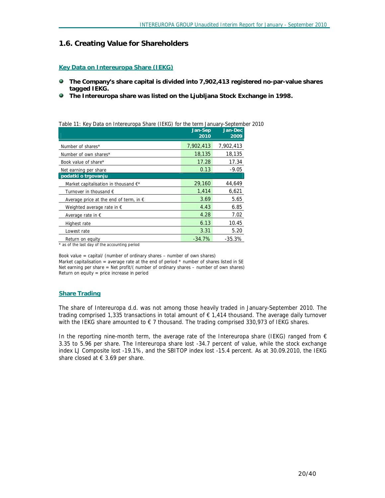#### **1.6. Creating Value for Shareholders**

#### **Key Data on Intereuropa Share (IEKG)**

- ۰ **The Company's share capital is divided into 7,902,413 registered no-par-value shares tagged IEKG.**
- ۰ **The Intereuropa share was listed on the Ljubljana Stock Exchange in 1998.**

*Table 11: Key Data on Intereuropa Share (IEKG) for the term January-September 2010* 

|                                                 | Jan-Sep<br>2010 | Jan-Dec<br>2009 |
|-------------------------------------------------|-----------------|-----------------|
| Number of shares*                               | 7,902,413       | 7,902,413       |
| Number of own shares*                           | 18,135          | 18,135          |
| Book value of share*                            | 17.28           | 17.34           |
| Net earning per share                           | 0.13            | $-9.05$         |
| podatki o trgovanju                             |                 |                 |
| Market capitalisation in thousand $E^*$         | 29,160          | 44,649          |
| Turnover in thousand €                          | 1.414           | 6,621           |
| Average price at the end of term, in $\epsilon$ | 3.69            | 5.65            |
| Weighted average rate in $\epsilon$             | 4.43            | 6.85            |
| Average rate in $\epsilon$                      | 4.28            | 7.02            |
| Highest rate                                    | 6.13            | 10.45           |
| Lowest rate                                     | 3.31            | 5.20            |
| Return on equity                                | $-34.7%$        | $-35.3%$        |

*\* as of the last day of the accounting period* 

*Book value = capital/ (number of ordinary shares – number of own shares) Market capitalisation = average rate at the end of period \* number of shares listed in SE Net earning per share = Net profit/( number of ordinary shares – number of own shares) Return on equity = price increase in period* 

#### **Share Trading**

The share of Intereuropa d.d. was not among those heavily traded in January-September 2010. The trading comprised 1,335 transactions in total amount of € 1,414 thousand. The average daily turnover with the IEKG share amounted to  $\epsilon$  7 thousand. The trading comprised 330,973 of IEKG shares.

In the reporting nine-month term, the average rate of the Intereuropa share (IEKG) ranged from  $\epsilon$ 3.35 to 5.96 per share. The Intereuropa share lost -34.7 percent of value, while the stock exchange index LJ Composite lost -19.1%, and the SBITOP index lost -15.4 percent. As at 30.09.2010, the IEKG share closed at  $\epsilon$  3.69 per share.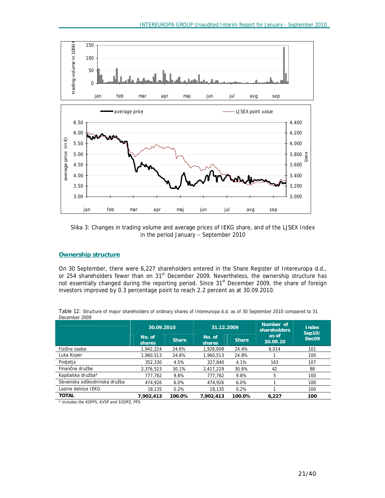

*Slika 3: Changes in trading volume and average prices of IEKG share, and of the LJSEX Index in the period January – September 2010* 

## **Ownership structure**

On 30 September, there were 6,227 shareholders entered in the Share Register of Intereuropa d.d., or 254 shareholders fewer than on 31<sup>st</sup> December 2009. Nevertheless, the ownership structure has not essentially changed during the reporting period. Since 31<sup>st</sup> December 2009, the share of foreign investors improved by 0.3 percentage point to reach 2.2 percent as at 30.09.2010.

|                               | 30.09.2010       |              | 31.12.2009       |              | Number of<br>shareholders | <b>Index</b><br>Sep10/ |
|-------------------------------|------------------|--------------|------------------|--------------|---------------------------|------------------------|
|                               | No. of<br>shares | <b>Share</b> | No. of<br>shares | <b>Share</b> | as of<br>30.09.10         | Dec <sub>09</sub>      |
| Fizične osebe                 | 1,942,224        | 24.6%        | 1.926.008        | 24.4%        | 6,014                     | 101                    |
| Luka Koper                    | 1.960.513        | 24.8%        | 1,960,513        | 24.8%        |                           | 100                    |
| Podjetja                      | 352,330          | 4.5%         | 327.840          | 4.1%         | 163                       | 107                    |
| Finančne družbe               | 2,376,523        | 30.1%        | 2.417.229        | 30.6%        | 42                        | 98                     |
| Kapitalska družba*            | 777.762          | 9.8%         | 777.762          | 9.8%         | 5                         | 100                    |
| Slovenska odškodninska družba | 474.926          | 6.0%         | 474,926          | 6.0%         |                           | 100                    |
| Lastne delnice IEKG           | 18.135           | 0.2%         | 18.135           | 0.2%         |                           | 100                    |
| <b>TOTAL</b>                  | 7.902.413        | 100.0%       | 7.902.413        | 100.0%       | 6.227                     | 100                    |

Table 12: Structure of major shareholders of ordinary shares of Intereuropa d.d. as of 30 September 2010 compared to 31 *December 2009*

*\* includes the KSPPS, KVSP and SODPZ, PPS*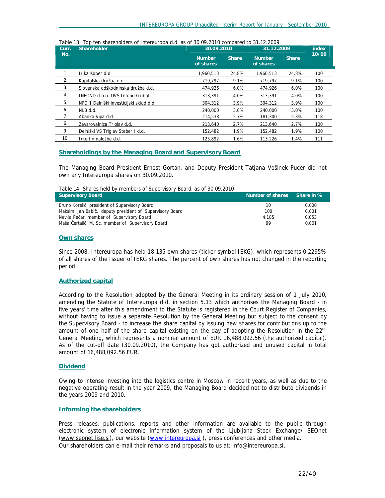| Curr. | Shareholder                             | 30.09.2010                 |              | 31.12.2009                 | index        |       |
|-------|-----------------------------------------|----------------------------|--------------|----------------------------|--------------|-------|
| No.   |                                         | <b>Number</b><br>of shares | <b>Share</b> | <b>Number</b><br>of shares | <b>Share</b> | 10/09 |
| 1.    | Luka Koper d.d.                         | 1,960,513                  | 24.8%        | 1,960,513                  | 24.8%        | 100   |
| 2.    | Kapitalska družba d.d.                  | 719.797                    | 9.1%         | 719.797                    | 9.1%         | 100   |
| 3.    | Slovenska odškodninska družba d.d.      | 474,926                    | 6.0%         | 474.926                    | 6.0%         | 100   |
| 4.    | <b>INFOND d.o.o. UVS Infond Global</b>  | 313,391                    | 4.0%         | 313,391                    | 4.0%         | 100   |
| 5.    | NFD 1 Delniški investicijski sklad d.d. | 304,312                    | 3.9%         | 304,312                    | 3.9%         | 100   |
| 6.    | NLB d.d.                                | 240.000                    | 3.0%         | 240,000                    | 3.0%         | 100   |
| 7.    | Abanka Vipa d.d.                        | 214,538                    | 2.7%         | 181,300                    | 2.3%         | 118   |
| 6.    | Zavarovalnica Triglav d.d.              | 213,640                    | 2.7%         | 213,640                    | 2.7%         | 100   |
| 9.    | Delniški VS Triglav Steber I d.d.       | 152,482                    | 1.9%         | 152,482                    | 1.9%         | 100   |
| 10.   | Interfin naložbe d.d.                   | 125.892                    | 1.6%         | 113.226                    | 1.4%         | 111   |

#### *Table 13: Top ten shareholders of Intereuropa d.d. as of 30.09.2010 compared to 31.12.2009*

#### **Shareholdings by the Managing Board and Supervisory Board**

The Managing Board President Ernest Gortan, and Deputy President Tatjana Vošinek Pucer did not own any Intereuropa shares on 30.09.2010.

*Table 14: Shares held by members of Supervisory Board, as of 30.09.2010*

| Supervisory Board                                         | Number of shares Share in % |       |
|-----------------------------------------------------------|-----------------------------|-------|
| Bruno Korelič, president of Supervisory Board             | 10                          | 0.000 |
| Maksimilijan Babič, deputy president of Supervisory Board | 100                         | 0.001 |
| Nevija Pečar, member of Supervisory Board                 | 4.185                       | 0.053 |
| Maša Čertalič, M. Sc. member of Supervisory Board         | 99                          | 0.001 |

#### **Own shares**

Since 2008, Intereuropa has held 18,135 own shares (ticker symbol IEKG), which represents 0.2295% of all shares of the Issuer of IEKG shares. The percent of own shares has not changed in the reporting period.

#### **Authorized capital**

According to the Resolution adopted by the General Meeting in its ordinary session of 1 July 2010, amending the Statute of Intereuropa d.d. in section 5.13 which authorises the Managing Board - in five years' time after this amendment to the Statute is registered in the Court Register of Companies, without having to issue a separate Resolution by the General Meeting but subject to the consent by the Supervisory Board - to increase the share capital by issuing new shares for contributions up to the amount of one half of the share capital existing on the day of adopting the Resolution in the 22<sup>nd</sup> General Meeting, which represents a nominal amount of EUR 16,488,092.56 (the authorized capital). As of the cut-off date (30.09.2010), the Company has got authorized and unused capital in total amount of 16,488,092.56 EUR.

#### **Dividend**

Owing to intense investing into the logistics centre in Moscow in recent years, as well as due to the negative operating result in the year 2009, the Managing Board decided not to distribute dividends in the years 2009 and 2010.

#### **Informing the shareholders**

Press releases, publications, reports and other information are available to the public through electronic system of electronic information system of the Ljubljana Stock Exchange/ SEOnet [\(www.seonet.ljse.si](http://www.seonet.ljse.si)), our website ([www.intereuropa.si](http://www.intereuropa.si)), press conferences and other media. Our shareholders can e-mail their remarks and proposals to us at: [info@intereuropa.si](mailto:info@intereuropa.si).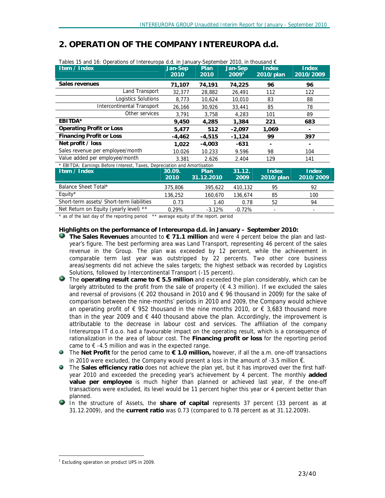| Item / Index                                                             | Jan-Sep<br>2010 | Plan<br>2010 | Jan-Sep<br>2009 <sup>1</sup> | Index<br>2010/plan | <b>Index</b><br>2010/2009 |
|--------------------------------------------------------------------------|-----------------|--------------|------------------------------|--------------------|---------------------------|
| Sales revenues                                                           | 71,107          | 74,191       | 74,225                       | 96                 | 96                        |
| Land Transport                                                           | 32,377          | 28,882       | 26,491                       | 112                | 122                       |
| Logistics Solutions                                                      | 8,773           | 10,624       | 10,010                       | 83                 | 88                        |
| <b>Intercontinental Transport</b>                                        | 26,166          | 30,926       | 33,441                       | 85                 | 78                        |
| Other services                                                           | 3,791           | 3,758        | 4,283                        | 101                | 89                        |
| EBITDA*                                                                  | 9,450           | 4,285        | 1,384                        | 221                | 683                       |
| <b>Operating Profit or Loss</b>                                          | 5,477           | 512          | $-2,097$                     | 1,069              |                           |
| <b>Financing Profit or Loss</b>                                          | -4,462          | $-4,515$     | $-1,124$                     | 99                 | 397                       |
| Net profit / loss                                                        | 1,022           | $-4,003$     | $-631$                       |                    |                           |
| Sales revenue per employee/month                                         | 10.026          | 10.233       | 9.596                        | 98                 | 104                       |
| Value added per employee/month                                           | 3.381           | 2.626        | 2.404                        | 129                | 141                       |
| * EBITDA: Earnings Before Interest, Taxes, Depreciation and Amortisation |                 |              |                              |                    |                           |
| Item / Index                                                             | 30.09.          | <b>Plan</b>  | 31.12.                       | <b>Index</b>       | <b>Index</b>              |
|                                                                          | 2010            | 31.12.2010   | 2009                         | 2010/plan          | 2010/2009                 |
| Balance Sheet Total*                                                     | 375,806         | 395,622      | 410,132                      | 95                 | 92                        |
| Equity*                                                                  | 136,252         | 160,670      | 136,674                      | 85                 | 100                       |
| Short-term assets/ Short-term liabilities                                | 0.73            | 1.40         | 0.78                         | 52                 | 94                        |
| Net Return on Equity (yearly level) **                                   | 0.29%           | $-3.12%$     | $-0.72%$                     |                    |                           |

# *2. OPERATION OF THE COMPANY INTEREUROPA d.d.*

*\* as of the last day of the reporting period \*\* average equity of the report. period* 

### **Highlights on the performance of Intereuropa d.d. in January – September 2010:**

- **The Sales Revenues** amounted to **€ 71.1 million** and were 4 percent below the plan and lastyear's figure. The best performing area was Land Transport, representing 46 percent of the sales revenue in the Group. The plan was exceeded by 12 percent, while the achievement in comparable term last year was outstripped by 22 percents. Two other core business areas/segments did not achieve the sales targets; the highest setback was recorded by Logistics Solutions, followed by Intercontinental Transport (-15 percent).
- The **operating result came to € 5.5 million** and exceeded the plan considerably, which can be largely attributed to the profit from the sale of property ( $\epsilon$  4.3 million). If we excluded the sales and reversal of provisions ( $\epsilon$  202 thousand in 2010 and  $\epsilon$  96 thousand in 2009) for the sake of comparison between the nine-months' periods in 2010 and 2009, the Company would achieve an operating profit of  $\epsilon$  952 thousand in the nine months 2010, or  $\epsilon$  3,683 thousand more than in the year 2009 and  $\epsilon$  440 thousand above the plan. Accordingly, the improvement is attributable to the decrease in labour cost and services. The affiliation of the company Intereuropa IT d.o.o. had a favourable impact on the operating result, which is a consequence of rationalization in the area of labour cost. The **Financing profit or loss** for the reporting period came to  $\epsilon$  -4.5 million and was in the expected range.
- The **Net Profit** for the period came to **€ 1.0 million,** however, if all the a.m. one-off transactions in 2010 were excluded, the Company would present a loss in the amount of -3.5 million €.
- The **Sales efficiency ratio** does not achieve the plan yet, but it has improved over the first halfyear 2010 and exceeded the preceding year's achievement by 4 percent. The monthly **added value per employee** is much higher than planned or achieved last year, if the one-off transactions were excluded, its level would be 11 percent higher this year or 4 percent better than planned.
- In the structure of Assets, the **share of capital** represents 37 percent (33 percent as at 31.12.2009), and the **current ratio** was 0.73 (compared to 0.78 percent as at 31.12.2009).

-

<sup>&</sup>lt;sup>1</sup> Excluding operation on product UPS in 2009.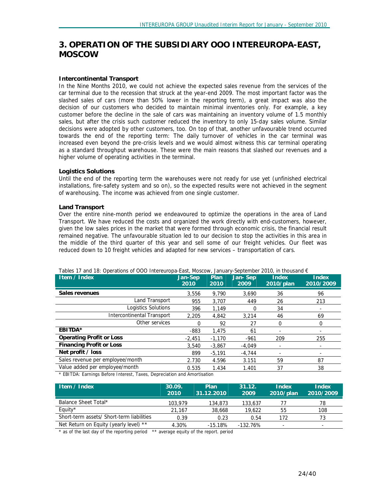# *3. OPERATION OF THE SUBSIDIARY OOO INTEREUROPA-EAST, MOSCOW*

#### **Intercontinental Transport**

In the Nine Months 2010, we could not achieve the expected sales revenue from the services of the car terminal due to the recession that struck at the year-end 2009. The most important factor was the slashed sales of cars (more than 50% lower in the reporting term), a great impact was also the decision of our customers who decided to maintain minimal inventories only. For example, a key customer before the decline in the sale of cars was maintaining an inventory volume of 1.5 monthly sales, but after the crisis such customer reduced the inventory to only 15-day sales volume. Similar decisions were adopted by other customers, too. On top of that, another unfavourable trend occurred towards the end of the reporting term: The daily turnover of vehicles in the car terminal was increased even beyond the pre-crisis levels and we would almost witness this car terminal operating as a standard throughput warehouse. These were the main reasons that slashed our revenues and a higher volume of operating activities in the terminal.

#### **Logistics Solutions**

Until the end of the reporting term the warehouses were not ready for use yet (unfinished electrical installations, fire-safety system and so on), so the expected results were not achieved in the segment of warehousing. The income was achieved from one single customer.

#### **Land Transport**

Over the entire nine-month period we endeavoured to optimize the operations in the area of Land Transport. We have reduced the costs and organized the work directly with end-customers, however, given the low sales prices in the market that were formed through economic crisis, the financial result remained negative. The unfavourable situation led to our decision to stop the activities in this area in the middle of the third quarter of this year and sell some of our freight vehicles. Our fleet was reduced down to 10 freight vehicles and adapted for new services – transportation of cars.

| Jan-Sep<br>2010 | Plan<br>2010 | Jan-Sep<br>2009 | Index<br>2010/plan | <b>Index</b><br>2010/2009                                                                                    |
|-----------------|--------------|-----------------|--------------------|--------------------------------------------------------------------------------------------------------------|
| 3,556           | 9,790        | 3.690           | 36                 | 96                                                                                                           |
| 955             | 3,707        | 449             | 26                 | 213                                                                                                          |
| 396             | 1,149        | 0               | 34                 |                                                                                                              |
| 2.205           | 4,842        | 3,214           | 46                 | 69                                                                                                           |
| 0               | 92           | 27              | 0                  | 0                                                                                                            |
| $-883$          | 1,475        | 61              |                    |                                                                                                              |
| $-2.451$        | $-1,170$     | $-961$          | 209                | 255                                                                                                          |
| 3.540           | $-3,867$     | $-4,049$        | ٠                  | ۰                                                                                                            |
| 899             | $-5.191$     | $-4.744$        |                    |                                                                                                              |
| 2.730           | 4.596        | 3.151           | 59                 | 87                                                                                                           |
| 0.535           | 1.434        | 1.401           | 37                 | 38                                                                                                           |
|                 |              |                 |                    | Tables 17 and 18: Operations of OOO Intereuropa-East, Moscow, January-September 2010, in thousand $\epsilon$ |

*\* EBITDA: Earnings Before Interest, Taxes, Depreciation and Amortisation*

| ltem / Index                              | .30.09.<br>2010 | Plan<br>31.12.2010 | 31.12.<br>2009 | Index<br>2010/plan | <b>Index</b><br>2010/2009 |
|-------------------------------------------|-----------------|--------------------|----------------|--------------------|---------------------------|
| Balance Sheet Total*                      | 103,979         | 134,873            | 133,637        |                    | 78                        |
| Equity $*$                                | 21.167          | 38,668             | 19,622         | 55                 | 108                       |
| Short-term assets/ Short-term liabilities | 0.39            | 0.23               | 0.54           | 172                | 73                        |
| Net Return on Equity (yearly level) **    | 4.30%           | $-15.18%$          | $-132.76%$     |                    | $\overline{\phantom{0}}$  |

*\* as of the last day of the reporting period \*\* average equity of the report. period*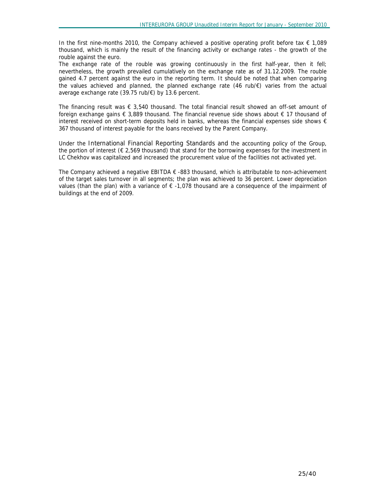In the first nine-months 2010, the Company achieved a positive operating profit before tax  $\epsilon$  1,089 thousand, which is mainly the result of the financing activity or exchange rates - the growth of the rouble against the euro.

The exchange rate of the rouble was growing continuously in the first half-year, then it fell; nevertheless, the growth prevailed cumulatively on the exchange rate as of 31.12.2009. The rouble gained 4.7 percent against the euro in the reporting term. It should be noted that when comparing the values achieved and planned, the planned exchange rate (46 rub/€) varies from the actual average exchange rate (39.75 rub/€) by 13.6 percent.

The financing result was  $\epsilon$  3,540 thousand. The total financial result showed an off-set amount of foreign exchange gains  $\epsilon$  3,889 thousand. The financial revenue side shows about  $\epsilon$  17 thousand of interest received on short-term deposits held in banks, whereas the financial expenses side shows  $\epsilon$ 367 thousand of interest payable for the loans received by the Parent Company.

Under the International Financial Reporting Standards and the accounting policy of the Group, the portion of interest  $(\epsilon 2,569$  thousand) that stand for the borrowing expenses for the investment in LC Chekhov was capitalized and increased the procurement value of the facilities not activated yet.

The Company achieved a negative EBITDA  $\epsilon$  -883 thousand, which is attributable to non-achievement of the target sales turnover in all segments; the plan was achieved to 36 percent. Lower depreciation values (than the plan) with a variance of € -1,078 thousand are a consequence of the impairment of buildings at the end of 2009.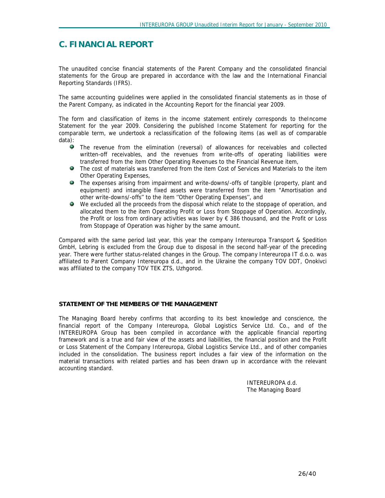# **C. FINANCIAL REPORT**

The unaudited concise financial statements of the Parent Company and the consolidated financial statements for the Group are prepared in accordance with the law and the International Financial Reporting Standards (IFRS).

The same accounting guidelines were applied in the consolidated financial statements as in those of the Parent Company, as indicated in the Accounting Report for the financial year 2009.

The form and classification of items in the income statement entirely corresponds to theIncome Statement for the year 2009. Considering the published Income Statement for reporting for the comparable term, we undertook a reclassification of the following items (as well as of comparable data):

- The revenue from the elimination (reversal) of allowances for receivables and collected written-off receivables, and the revenues from write-offs of operating liabilities were transferred from the item Other Operating Revenues to the Financial Revenue item,
- The cost of materials was transferred from the item Cost of Services and Materials to the item Other Operating Expenses,
- The expenses arising from impairment and write-downs/-offs of tangible (property, plant and equipment) and intangible fixed assets were transferred from the item "Amortisation and other write-downs/-offs'' to the item ''Other Operating Expenses'', and
- We excluded all the proceeds from the disposal which relate to the stoppage of operation, and allocated them to the item Operating Profit or Loss from Stoppage of Operation. Accordingly, the Profit or loss from ordinary activities was lower by € 386 thousand, and the Profit or Loss from Stoppage of Operation was higher by the same amount.

Compared with the same period last year, this year the company Intereuropa Transport & Spedition GmbH, Lebring is excluded from the Group due to disposal in the second half-year of the preceding year. There were further status-related changes in the Group. The company Intereuropa IT d.o.o. was affiliated to Parent Company Intereuropa d.d., and in the Ukraine the company TOV DDT, Onokivci was affiliated to the company TOV TEK ZTS, Uzhgorod.

## **STATEMENT OF THE MEMBERS OF THE MANAGEMENT**

The Managing Board hereby confirms that according to its best knowledge and conscience, the financial report of the Company Intereuropa, Global Logistics Service Ltd. Co., and of the INTEREUROPA Group has been compiled in accordance with the applicable financial reporting framework and is a true and fair view of the assets and liabilities, the financial position and the Profit or Loss Statement of the Company Intereuropa, Global Logistics Service Ltd., and of other companies included in the consolidation. The business report includes a fair view of the information on the material transactions with related parties and has been drawn up in accordance with the relevant accounting standard.

> INTEREUROPA d.d. The Managing Board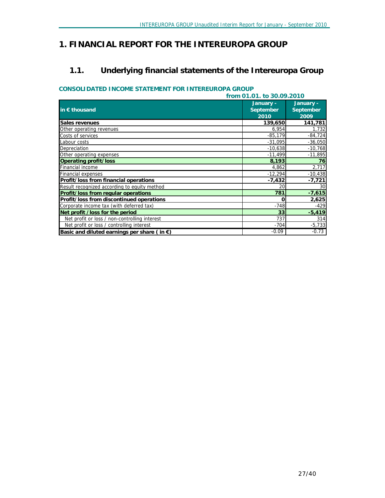# *1. FINANCIAL REPORT FOR THE INTEREUROPA GROUP*

# **1.1. Underlying financial statements of the Intereuropa Group**

## **CONSOLIDATED INCOME STATEMENT FOR INTEREUROPA GROUP**

| from 01.01. to 30.09.2010                             |                                |                                |  |  |  |
|-------------------------------------------------------|--------------------------------|--------------------------------|--|--|--|
| in $\epsilon$ thousand                                | January -<br>September<br>2010 | January -<br>September<br>2009 |  |  |  |
| Sales revenues                                        | 139,650                        | 141,781                        |  |  |  |
| Other operating revenues                              | 6,954                          | 1,732                          |  |  |  |
| Costs of services                                     | $-85,179$                      | $-84,724$                      |  |  |  |
| Labour costs                                          | $-31,095$                      | $-36,050$                      |  |  |  |
| Depreciation                                          | $-10,638$                      | $-10,768$                      |  |  |  |
| Other operating expenses                              | $-11,499$                      | $-11,895$                      |  |  |  |
| Operating profit/loss                                 | 8,193                          | 76                             |  |  |  |
| Financial income                                      | 4,862                          | 2,717                          |  |  |  |
| <b>Financial expenses</b>                             | $-12,294$                      | $-10,438$                      |  |  |  |
| Profit/loss from financial operations                 | $-7,432$                       | $-7,721$                       |  |  |  |
| Result recognized according to equity method          | 20                             | 30                             |  |  |  |
| Profit/loss from regular operations                   | 781                            | $-7,615$                       |  |  |  |
| Profit/loss from discontinued operations              | 0                              | 2,625                          |  |  |  |
| Corporate income tax (with deferred tax)              | $-748$                         | $-429$                         |  |  |  |
| Net profit /loss for the period                       | 33                             | $-5,419$                       |  |  |  |
| Net profit or loss / non-controlling interest         | 737                            | 314                            |  |  |  |
| Net profit or loss / controlling interest             | $-704$                         | $-5,733$                       |  |  |  |
| Basic and diluted earnings per share (in $\epsilon$ ) | $-0.09$                        | $-0.73$                        |  |  |  |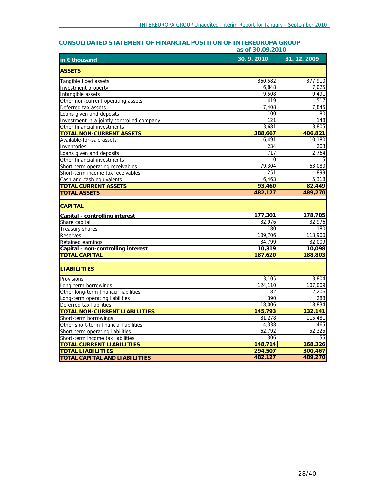|                                            |           | as of 30.09.2010 |  |  |  |  |
|--------------------------------------------|-----------|------------------|--|--|--|--|
| in $\epsilon$ thousand                     | 30.9.2010 | 31.12.2009       |  |  |  |  |
| <b>ASSETS</b>                              |           |                  |  |  |  |  |
| Tangible fixed assets                      | 360,582   | 377,910          |  |  |  |  |
| Investment property                        | 6,848     | 7,025            |  |  |  |  |
| Intangible assets                          | 9,508     | 9,491            |  |  |  |  |
| Other non-current operating assets         | 419       | 517              |  |  |  |  |
| Deferred tax assets                        | 7,408     | 7,845            |  |  |  |  |
| Loans given and deposits                   | 100       | 80               |  |  |  |  |
| Investment in a jointly controlled company | 121       | 148              |  |  |  |  |
| Other financial investments                | 3,681     | 3,805            |  |  |  |  |
| <b>TOTAL NON-CURRENT ASSETS</b>            | 388,667   | 406,821          |  |  |  |  |
| Available-for-sale assets                  | 6,491     | 10,180           |  |  |  |  |
| Inventories                                | 234       | 203              |  |  |  |  |
| Loans given and deposits                   | 717       | 2,764            |  |  |  |  |
| Other financial investments                | $\Omega$  | 5                |  |  |  |  |
| Short-term operating receivables           | 79,304    | 63,080           |  |  |  |  |
| Short-term income tax receivables          | 251       | 899              |  |  |  |  |
| Cash and cash equivalents                  | 6,463     | 5,318            |  |  |  |  |
| <b>TOTAL CURRENT ASSETS</b>                | 93,460    | 82,449           |  |  |  |  |
| <b>TOTAL ASSETS</b>                        | 482,127   | 489,270          |  |  |  |  |
| <b>CAPITAL</b>                             |           |                  |  |  |  |  |
| Capital - controlling interest             | 177,301   | 178,705          |  |  |  |  |
| Share capital                              | 32,976    | 32,976           |  |  |  |  |
| Treasury shares                            | $-180$    | $-180$           |  |  |  |  |
| <b>Reserves</b>                            | 109,706   | 113,900          |  |  |  |  |
| Retained earnings                          | 34,799    | 32,009           |  |  |  |  |
| Capital - non-controlling interest         | 10,319    | 10,098           |  |  |  |  |
| <b>TOTAL CAPITAL</b>                       | 187,620   | 188,803          |  |  |  |  |
| <b>LIABILITIES</b>                         |           |                  |  |  |  |  |
| Provisions                                 | 3,105     | 3,804            |  |  |  |  |
| Long-term borrowings                       | 124,110   | 107,009          |  |  |  |  |
| Other long-term financial liabilities      | 182       | 2,206            |  |  |  |  |
| Long-term operating liabilities            | 390       | 288              |  |  |  |  |
| Deferred tax liabilities                   | 18,006    | 18,834           |  |  |  |  |
| TOTAL NON-CURRENT LIABILITIES              | 145,793   | 132,141          |  |  |  |  |
| Short-term borrowings                      | 81,278    | 115,481          |  |  |  |  |
| Other short-term financial liabilities     | 4,338     | 465              |  |  |  |  |
| Short-term operating liabilities           | 62,792    | 52,325           |  |  |  |  |
| Short-term income tax liabilities          | 306       | 55               |  |  |  |  |
| <b>TOTAL CURRENT LIABILITIES</b>           | 148,714   | 168,326          |  |  |  |  |
| <b>TOTAL LIABILITIES</b>                   | 294,507   | 300,467          |  |  |  |  |
| <b>TOTAL CAPITAL AND LIABILITIES</b>       | 482,127   | 489,270          |  |  |  |  |

# **CONSOLIDATED STATEMENT OF FINANCIAL POSITION OF INTEREUROPA GROUP**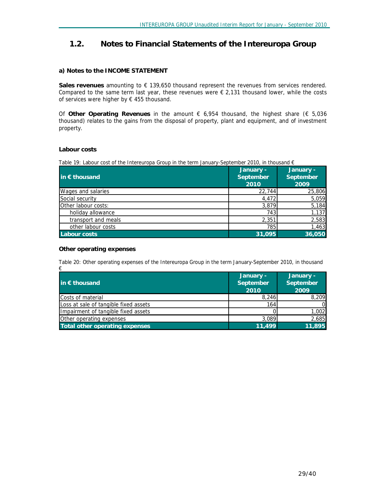# **1.2. Notes to Financial Statements of the Intereuropa Group**

#### **a) Notes to the INCOME STATEMENT**

**Sales revenues** amounting to € 139,650 thousand represent the revenues from services rendered. Compared to the same term last year, these revenues were  $\epsilon$  2,131 thousand lower, while the costs of services were higher by  $\epsilon$  455 thousand.

Of **Other Operating Revenues** in the amount € 6,954 thousand, the highest share (€ 5,036 thousand) relates to the gains from the disposal of property, plant and equipment, and of investment property.

#### **Labour costs**

| Table 19: Labour cost of the Intereuropa Group in the term January-September 2010, in thousand $\epsilon$ |  |  |
|-----------------------------------------------------------------------------------------------------------|--|--|

| in $\epsilon$ thousand | January -<br>September<br>2010 | January -<br>September<br>2009 |
|------------------------|--------------------------------|--------------------------------|
| Wages and salaries     | 22,744                         | 25,806                         |
| Social security        | 4,472                          | 5,059                          |
| Other labour costs:    | 3,879                          | 5,184                          |
| holiday allowance      | 743                            | 1,137                          |
| transport and meals    | 2,351                          | 2,583                          |
| other labour costs     | 785                            | 1,463                          |
| Labour costs           | 31,095                         | 36,050                         |

#### **Other operating expenses**

*Table 20: Other operating expenses of the Intereuropa Group in the term January-September 2010, in thousand €* 

| in € thousand                         | January -<br>September | <b>January -</b><br>September |
|---------------------------------------|------------------------|-------------------------------|
|                                       | 2010                   | 2009                          |
| Costs of material                     | 8,246                  | 8,209                         |
| Loss at sale of tangible fixed assets | 164                    | ΩI                            |
| Impairment of tangible fixed assets   |                        | 1,002                         |
| Other operating expenses              | 3,089                  | 2,685                         |
| Total other operating expenses        | 11.499                 | 11,895                        |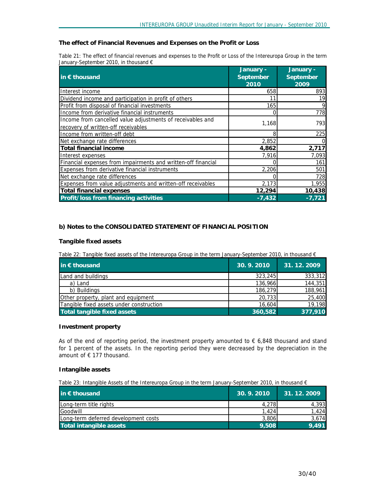#### **The effect of Financial Revenues and Expenses on the Profit or Loss**

Table 21: The effect of financial revenues and expenses to the Profit or Loss of the Intereuropa Group in the term *January-September 2010, in thousand €* 

|                                                               | January - | January - |  |
|---------------------------------------------------------------|-----------|-----------|--|
| $\mathsf{in} \in \mathsf{thousand}$                           | September | September |  |
|                                                               | 2010      | 2009      |  |
| Interest income                                               | 658       | 893       |  |
| Dividend income and participation in profit of others         | 11        | 19        |  |
| Profit from disposal of financial investments                 | 165       | 9         |  |
| Income from derivative financial instruments                  | O         | 778       |  |
| Income from cancelled value adjustments of receivables and    | 1,168     | 7931      |  |
| recovery of written-off receivables                           |           |           |  |
| Income from written-off debt                                  | 8         | 225       |  |
| Net exchange rate differences                                 | 2,852     |           |  |
| <b>Total financial income</b>                                 | 4,862     | 2,717     |  |
| Interest expenses                                             | 7,916     | 7,093     |  |
| Financial expenses from impairments and written-off financial |           | 161       |  |
| Expenses from derivative financial instruments                | 2,206     | 501       |  |
| Net exchange rate differences                                 |           | 728       |  |
| Expenses from value adjustments and written-off receivables   | 2,173     | 1,955     |  |
| Total financial expenses                                      | 12,294    | 10,438    |  |
| Profit/loss from financing activities                         | $-7,432$  | $-7.721$  |  |

#### **b) Notes to the CONSOLIDATED STATEMENT OF FINANCIAL POSITION**

#### **Tangible fixed assets**

*Table 22: Tangible fixed assets of the Intereuropa Group in the term January-September 2010, in thousand €* 

| in $\epsilon$ thousand                   | 30.9.2010 | 31.12.2009 |
|------------------------------------------|-----------|------------|
| Land and buildings                       | 323,245   | 333,312    |
| a) Land                                  | 136,966   | 144,351    |
| b) Buildings                             | 186,279   | 188,961    |
| Other property, plant and equipment      | 20,733    | 25,400     |
| Tangible fixed assets under construction | 16,604    | 19,198     |
| <b>Total tangible fixed assets</b>       | 360.582   | 377,910    |

#### **Investment property**

As of the end of reporting period, the investment property amounted to  $\epsilon$  6,848 thousand and stand for 1 percent of the assets. In the reporting period they were decreased by the depreciation in the amount of € 177 thousand.

### **Intangible assets**

*Table 23: Intangible Assets of the Intereuropa Group in the term January-September 2010, in thousand €* 

| in $\epsilon$ thousand               | 30.9.2010 | 31.12.2009 |
|--------------------------------------|-----------|------------|
| Long-term title rights               | 4.278     | 4,393      |
| Goodwill                             | 1.424     | .424       |
| Long-term deferred development costs | 3,806     | 3,674      |
| Total intangible assets              | 9.508     | 9.491      |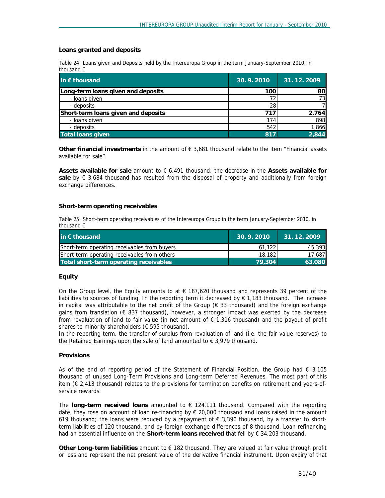#### **Loans granted and deposits**

*Table 24: Loans given and Deposits held by the Intereuropa Group in the term January-September 2010, in thousand €* 

| in $\epsilon$ thousand              | 30.9.2010 | 31.12.2009 |
|-------------------------------------|-----------|------------|
| Long-term loans given and deposits  | 100       | 80         |
| - loans given                       |           | 731        |
| - deposits                          | 28        |            |
| Short-term loans given and deposits | 71.       | 2,764      |
| - Ioans given                       | 174       | 898        |
| - deposits                          | 542       | 1,866      |
| <b>Total loans given</b>            | 817       | 2.844      |

**Other financial investments** in the amount of € 3,681 thousand relate to the item ''Financial assets available for sale''.

**Assets available for sale** amount to € 6,491 thousand; the decrease in the **Assets available for**  sale by € 3,684 thousand has resulted from the disposal of property and additionally from foreign exchange differences.

#### **Short-term operating receivables**

*Table 25: Short-term operating receivables of the Intereuropa Group in the term January-September 2010, in thousand €* 

| in $\epsilon$ thousand                       | 30.9.2010 | 31.12.2009 |
|----------------------------------------------|-----------|------------|
| Short-term operating receivables from buyers | 61.122    | 45,3931    |
| Short-term operating receivables from others | 18,182    | 17.687     |
| Total short-term operating receivables       | 79,304    | 63,080     |

#### **Equity**

On the Group level, the Equity amounts to at  $\epsilon$  187,620 thousand and represents 39 percent of the liabilities to sources of funding. In the reporting term it decreased by  $\epsilon$  1,183 thousand. The increase in capital was attributable to the net profit of the Group (€ 33 thousand) and the foreign exchange gains from translation ( $\epsilon$  837 thousand), however, a stronger impact was exerted by the decrease from revaluation of land to fair value (in net amount of € 1,316 thousand) and the payout of profit shares to minority shareholders (€ 595 thousand).

In the reporting term, the transfer of surplus from revaluation of land (i.e. the fair value reserves) to the Retained Earnings upon the sale of land amounted to  $\epsilon$  3,979 thousand.

#### **Provisions**

As of the end of reporting period of the Statement of Financial Position, the Group had  $\epsilon$  3,105 thousand of unused Long-Term Provisions and Long-term Deferred Revenues. The most part of this item (€ 2,413 thousand) relates to the provisions for termination benefits on retirement and years-ofservice rewards.

The **long-term received loans** amounted to € 124,111 thousand. Compared with the reporting date, they rose on account of loan re-financing by  $\epsilon$  20,000 thousand and loans raised in the amount 619 thousand; the loans were reduced by a repayment of  $\epsilon$  3,390 thousand, by a transfer to shortterm liabilities of 120 thousand, and by foreign exchange differences of 8 thousand. Loan refinancing had an essential influence on the **Short-term loans received** that fell by € 34,203 thousand.

**Other Long-term liabilities** amount to € 182 thousand. They are valued at fair value through profit or loss and represent the net present value of the derivative financial instrument. Upon expiry of that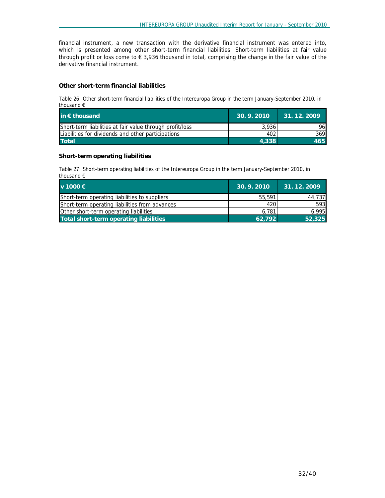financial instrument, a new transaction with the derivative financial instrument was entered into, which is presented among other short-term financial liabilities. Short-term liabilities at fair value through profit or loss come to € 3,936 thousand in total, comprising the change in the fair value of the derivative financial instrument.

## **Other short-term financial liabilities**

*Table 26: Other short-term financial liabilities of the Intereuropa Group in the term January-September 2010, in thousand €* 

| in $\epsilon$ thousand                                   | 30.9.2010 | 31.12.2009 |
|----------------------------------------------------------|-----------|------------|
| Short-term liabilities at fair value through profit/loss | 3.9361    | 961        |
| Liabilities for dividends and other participations       | 402       | 369I       |
| <b>Total</b>                                             | 4.338     | 465.       |

#### **Short-term operating liabilities**

*Table 27: Short-term operating liabilities of the Intereuropa Group in the term January-September 2010, in thousand €* 

| $v$ 1000 €                                     | 30.9.2010 | 31.12.2009 |
|------------------------------------------------|-----------|------------|
| Short-term operating liabilities to suppliers  | 55,591    | 44,737     |
| Short-term operating liabilities from advances | 420I      | 593        |
| Other short-term operating liabilities         | 6.781     | 6.995      |
| Total short-term operating liabilities         | 62.792    | 52,325     |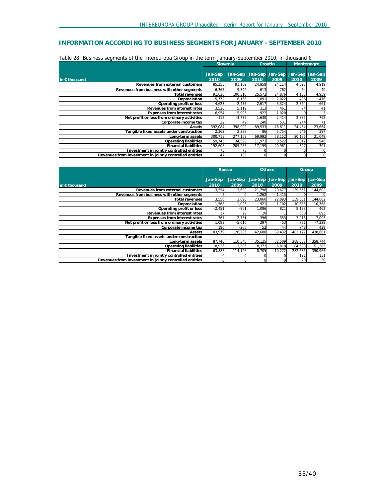# **INFORMATION ACCORDING TO BUSINESS SEGMENTS FOR JANUARY - SEPTEMBER 2010**

|                                                         | <b>Slovenia</b> |                 |                 | Croatia         |                 | Montenegro      |
|---------------------------------------------------------|-----------------|-----------------|-----------------|-----------------|-----------------|-----------------|
| in $\epsilon$ thousand                                  | Jan-Sep<br>2010 | Jan-Sep<br>2009 | Jan-Sep<br>2010 | Jan-Sep<br>2009 | Jan-Sep<br>2010 | Jan-Sep<br>2009 |
| Revenues from external customers                        | 85,253          | 91,169          | 24,959          | 24,114          | 4,093           | 4,919           |
| Revenues from business with other segments              | 6,367           | 9,342           | 613             | 762             | 64              | 40              |
| Total revenues                                          | 91,620          | 100,510         | 25,572          | 24,876          | 4,156           | 4,959           |
| Depreciation                                            | 5,772           | 6,166           | 1.891           | 2,022           | 486             | 476             |
| Operating profit or loss                                | 4,623           | $-2,437$        | 2,617           | 3,324           | 2,364           | 661             |
| Revenues from interest rates                            | 3,520           | 5,119           | 313             | 461             | 74              | 41              |
| Expenses from interest rates                            | 6,954           | 5,995           | 922             | 1,020           |                 |                 |
| Net profit or loss from ordinary activities             | $-112$          | $-3,739$        | 1,630           | 2,414           | 2,385           | 762             |
| Corporate income tax                                    | 22              | 49              | 240             | 531             | 244             | 71              |
| Assets                                                  | 392,084         | 398,992         | 89.533          | 76,811          | 24,484          | 23,664          |
| Tangible fixed assets under construction                | 2,362           | 2,388           | 86              | 5,754           | 546             | 397             |
| Lona-term assetsl                                       | 300,713         | 277.163         | 69.992          | 58,152          | 20,186          | 21,049          |
| Operating liabilities                                   | 59,745          | 34,598          | 11,973          | 8,522           | 1,012           | 946             |
| <b>Financial liabilities</b>                            | 192,608         | 205,285         | 17,159          | 20,981          | 327             | 301             |
| Investment in jointly controlled entities               | 75              | 75              |                 |                 |                 |                 |
| Revenues from investment in jointly controlled entities | 47              | 109             |                 |                 |                 | $\Omega$        |

| Table 28: Business seaments of the Intereuropa Group in the term January-September 2010, in thousand $\epsilon$ |  |  |
|-----------------------------------------------------------------------------------------------------------------|--|--|
|-----------------------------------------------------------------------------------------------------------------|--|--|

|                                                         | <b>Russia</b> |          | <b>Others</b> |          | Group   |          |
|---------------------------------------------------------|---------------|----------|---------------|----------|---------|----------|
|                                                         |               |          |               |          |         |          |
|                                                         | Jan-Sep       | Jan-Sep  | Jan-Sep       | Jan-Sep  | Jan-Sep | Jan-Sep  |
| in $\epsilon$ thousand                                  | 2010          | 2009     | 2010          | 2009     | 2010    | 2009     |
| Revenues from external customers                        | 3,554         | 3,690    | 21.798        | 20,677   | 139,651 | 144,602  |
| Revenues from business with other seaments              |               | $\Omega$ | 1.262         | 1.415    |         | 0        |
| Total revenues                                          | 3,556         | 3,690    | 23.060        | 22,093   | 139,651 | 144,602  |
| Depreciation                                            | 1.568         | 1.023    | 921           | 1.102    | 10,638  | 10,768   |
| Operating profit or loss                                | $-2,451$      | $-961$   | 1,086         | 821      | 8,193   | 462      |
| Revenues from interest rates                            | 17            | 29       | 20            |          | 658     | 893      |
| Expenses from interest rates                            | 367           | 2,751    | 396           | 353      | 7.916   | 7,093    |
| Net profit or loss from ordinary activities             | 1,089         | $-5,010$ | 297           | 53       | 781     | $-7,229$ |
| Corporate income tax                                    | 190           | $-266$   | 52            | 44       | 748     | 429      |
| Assets                                                  | 103,979       | 126,236  | 42,680        | 39,432   | 482,127 | 438,601  |
| Tangible fixed assets under construction                |               |          |               |          |         |          |
| Long-term assets                                        | 87,746        | 110,545  | 35,125        | 32,509   | 388,667 | 358,744  |
| Operating liabilities                                   | 18,926        | 13.306   | 8,372         | 6.818    | 84.598  | 51,205   |
| <b>Financial liabilities</b>                            | 63,885        | 114,126  | 8,705         | 10,272   | 282,685 | 350,965  |
| Investment in jointly controlled entities               |               | 0        | U             |          | 121     | 131      |
| Revenues from investment in jointly controlled entities | 0l            | $\Omega$ | $\Omega$      | $\Omega$ | 20      | 30       |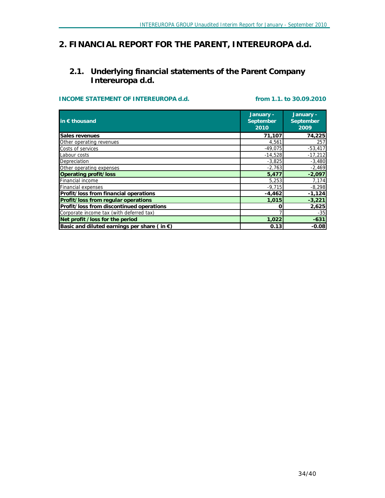# *2. FINANCIAL REPORT FOR THE PARENT, INTEREUROPA d.d.*

# **2.1. Underlying financial statements of the Parent Company Intereuropa d.d.**

# **INCOME STATEMENT OF INTEREUROPA d.d. from 1.1. to 30.09.2010**

| in $\epsilon$ thousand                                | January -<br>September<br>2010 | January -<br>September<br>2009 |
|-------------------------------------------------------|--------------------------------|--------------------------------|
| Sales revenues                                        | 71,107                         | 74,225                         |
| Other operating revenues                              | 4,561                          | 257                            |
| Costs of services                                     | $-49,075$                      | $-53,417$                      |
| Labour costs                                          | $-14,528$                      | $-17,212$                      |
| Depreciation                                          | $-3,825$                       | $-3,480$                       |
| Other operating expenses                              | $-2,763$                       | $-2,469$                       |
| Operating profit/loss                                 | 5,477                          | $-2,097$                       |
| Financial income                                      | 5,253                          | 7,174                          |
| <b>Financial expenses</b>                             | $-9,715$                       | $-8,298$                       |
| Profit/loss from financial operations                 | $-4,462$                       | $-1,124$                       |
| Profit/loss from regular operations                   | 1,015                          | $-3,221$                       |
| Profit/loss from discontinued operations              | ი                              | 2,625                          |
| Corporate income tax (with deferred tax)              |                                | $-35$                          |
| Net profit / loss for the period                      | 1,022                          | $-631$                         |
| Basic and diluted earnings per share (in $\epsilon$ ) | 0.13                           | $-0.08$                        |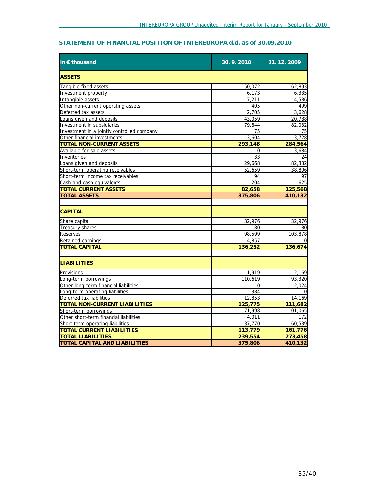# **STATEMENT OF FINANCIAL POSITION OF INTEREUROPA d.d. as of 30.09.2010**

| in $\epsilon$ thousand                     | 30.9.2010 | 31.12.2009 |
|--------------------------------------------|-----------|------------|
| <b>ASSETS</b>                              |           |            |
| Tangible fixed assets                      | 150,072   | 162,893    |
| Investment property                        | 6,173     | 6,335      |
| Intangible assets                          | 7,211     | 4,586      |
| Other non-current operating assets         | 405       | 499        |
| Deferred tax assets                        | 2,705     | 3,628      |
| Loans given and deposits                   | 43,059    | 20,788     |
| Investment in subsidiaries                 | 79,844    | 82,032     |
| Investment in a jointly controlled company | 75        | 75         |
| Other financial investments                | 3,604     | 3,728      |
| <b>TOTAL NON-CURRENT ASSETS</b>            | 293,148   | 284,564    |
| Available-for-sale assets                  | 0         | 3,684      |
| Inventories                                | 33        | 24         |
| Loans given and deposits                   | 29,668    | 82,332     |
| Short-term operating receivables           | 52,659    | 38,806     |
| Short-term income tax receivables          | 94        | 97         |
| Cash and cash equivalents                  | 204       | 625        |
| <b>TOTAL CURRENT ASSETS</b>                | 82,658    | 125,568    |
| <b>TOTAL ASSETS</b>                        | 375,806   | 410,132    |
| <b>CAPITAL</b>                             |           |            |
| Share capital                              | 32,976    | 32,976     |
| <b>Treasury shares</b>                     | $-180$    | $-180$     |
| <b>Reserves</b>                            | 98,599    | 103,878    |
| Retained earnings                          | 4,857     |            |
| <b>TOTAL CAPITAL</b>                       | 136,252   | 136,674    |
| <b>LIABILITIES</b>                         |           |            |
| Provisions                                 | 1,919     | 2,169      |
| Long-term borrowings                       | 110.619   | 93,320     |
| Other long-term financial liabilities      | 0         | 2,024      |
| Long-term operating liabilities            | 384       |            |
| Deferred tax liabilities                   | 12,853    | 14,169     |
| <b>TOTAL NON-CURRENT LIABILITIES</b>       | 125,775   | 111,682    |
| Short-term borrowings                      | 71,998    | 101,065    |
| Other short-term financial liabilities     | 4,011     | 172        |
| Short term operating liabilities           | 37,770    | 60,539     |
| <b>TOTAL CURRENT LIABILITIES</b>           | 113,779   | 161,776    |
| <b>TOTAL LIABILITIES</b>                   | 239,554   | 273,458    |
| <b>TOTAL CAPITAL AND LIABILITIES</b>       | 375,806   | 410,132    |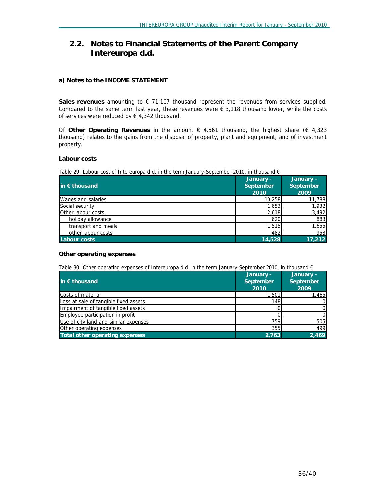# **2.2. Notes to Financial Statements of the Parent Company Intereuropa d.d.**

## **a) Notes to the INCOME STATEMENT**

**Sales revenues** amounting to € 71,107 thousand represent the revenues from services supplied. Compared to the same term last year, these revenues were  $\epsilon$  3,118 thousand lower, while the costs of services were reduced by  $\epsilon$  4,342 thousand.

Of **Other Operating Revenues** in the amount € 4,561 thousand, the highest share (€ 4,323 thousand) relates to the gains from the disposal of property, plant and equipment, and of investment property.

#### **Labour costs**

*Table 29: Labour cost of Intereuropa d.d. in the term January-September 2010, in thousand €* 

| in $\epsilon$ thousand     | January -<br>September<br>2010 | January -<br>September<br>2009 |
|----------------------------|--------------------------------|--------------------------------|
| Wages and salaries         | 10,258                         | 11,788                         |
| Social security            | 1,653                          | 1,932                          |
| <b>Other labour costs:</b> | 2,618                          | 3,492                          |
| holiday allowance          | 620                            | 883                            |
| transport and meals        | 1,515                          | 1,655                          |
| other labour costs         | 482                            | 953                            |
| Labour costs               | 14,528                         | 17,212                         |

#### **Other operating expenses**

*Table 30: Other operating expenses of Intereuropa d.d. in the term January-September 2010, in thousand €* 

| in € thousand                         | January -<br>September<br>2010 | January -<br>September<br>2009 |
|---------------------------------------|--------------------------------|--------------------------------|
| Costs of material                     | 1,501                          | 1,465                          |
| Loss at sale of tangible fixed assets | 148                            | 01                             |
| Impairment of tangible fixed assets   |                                | 01                             |
| Employee participation in profit      |                                | 0                              |
| Use of city land and similar expenses | 759                            | 505                            |
| Other operating expenses              | 355                            | 499                            |
| Total other operating expenses        | 2.763                          | 2.469                          |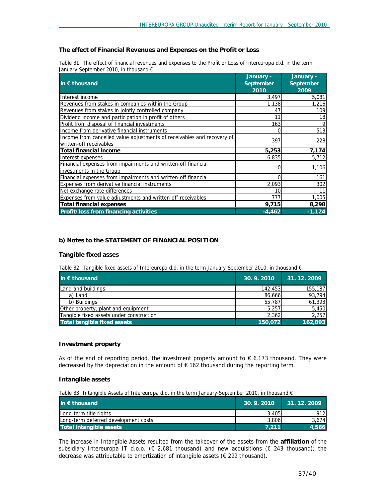## **The effect of Financial Revenues and Expenses on the Profit or Loss**

|                                                | Table 31: The effect of financial revenues and expenses to the Profit or Loss of Intereuropa d.d. in the term |  |
|------------------------------------------------|---------------------------------------------------------------------------------------------------------------|--|
| January-September 2010, in thousand $\epsilon$ |                                                                                                               |  |

|                                                                        | January - | January - |
|------------------------------------------------------------------------|-----------|-----------|
| in $\epsilon$ thousand                                                 | September | September |
|                                                                        | 2010      | 2009      |
| Interest income                                                        | 3,497     | 5,081     |
| Revenues from stakes in companies within the Group                     | 1,138     | 1,216     |
| Revenues from stakes in jointly controlled company                     | 47        | 109       |
| Dividend income and participation in profit of others                  | 11        | 18        |
| Profit from disposal of financial investments                          | 163       | 9         |
| Income from derivative financial instruments                           | 0         | 513       |
| Income from cancelled value adjustments of receivables and recovery of | 397       | 228       |
| written-off receivables                                                |           |           |
| Total financial income                                                 | 5,253     | 7,174     |
| Interest expenses                                                      | 6,835     | 5,712     |
| Financial expenses from impairments and written-off financial          |           |           |
| investments in the Group                                               |           | 1,106     |
| Financial expenses from impairments and written-off financial          | 0         | 161       |
| Expenses from derivative financial instruments                         | 2.093     | 302       |
| Net exchange rate differences                                          | 10        | 11        |
| Expenses from value adjustments and written-off receivables            | 777       | 1,005     |
| <b>Total financial expenses</b>                                        | 9,715     | 8,298     |
| Profit/loss from financing activities                                  | $-4,462$  | $-1, 124$ |

## **b) Notes to the STATEMENT OF FINANCIAL POSITION**

#### **Tangible fixed asses**

*Table 32: Tangible fixed assets of Intereuropa d.d. in the term January-September 2010, in thousand €* 

| in $\epsilon$ thousand                   | 30.9.2010 | 31.12.2009 |
|------------------------------------------|-----------|------------|
| Land and buildings                       | 142,453   | 155,187    |
| a) Land                                  | 86,666    | 93,794     |
| b) Buildings                             | 55,787    | 61,393     |
| Other property, plant and equipment      | 5,257     | 5,450      |
| Tangible fixed assets under construction | 2,362     | 2,257      |
| Total tangible fixed assets              | 150,072   | 162,893    |

#### **Investment property**

As of the end of reporting period, the investment property amount to  $\epsilon$  6,173 thousand. They were decreased by the depreciation in the amount of  $\epsilon$  162 thousand during the reporting term.

#### **Intangible assets**

*Table 33: Intangible Assets of Intereuropa d.d. in the term January-September 2010, in thousand €* 

| in $\epsilon$ thousand               | 30.9.2010 | 31.12.2009 |
|--------------------------------------|-----------|------------|
| Long-term title rights               | 3.405     | 912I       |
| Long-term deferred development costs | 3.806     | 3.674      |
| Total intangible assets              | 7.211     | 4.586      |

The increase in Intangible Assets resulted from the takeover of the assets from the **affiliation** of the subsidiary Intereuropa IT d.o.o. (€ 2,681 thousand) and new acquisitions (€ 243 thousand); the decrease was attributable to amortization of intangible assets (€ 299 thousand).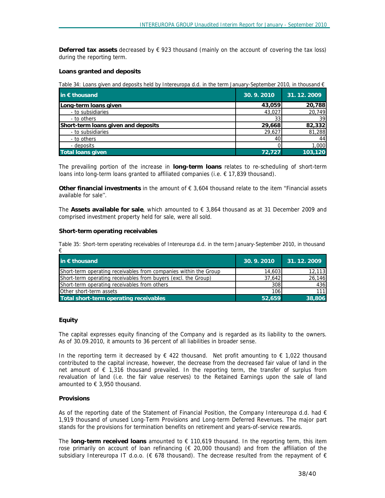**Deferred tax assets** decreased by € 923 thousand (mainly on the account of covering the tax loss) during the reporting term.

#### **Loans granted and deposits**

Table 34: Loans given and deposits held by Intereuropa d.d. in the term January-September 2010, in thousand  $\epsilon$ 

| in € thousand                       | 30.9.2010 | 31.12.2009 |
|-------------------------------------|-----------|------------|
| Long-term loans given               | 43,059    | 20,788     |
| - to subsidiaries                   | 43,027    | 20,749     |
| - to others                         |           | 39         |
| Short-term loans given and deposits | 29,668    | 82,332     |
| - to subsidiaries                   | 29,627    | 81,288     |
| - to others                         | 40        | 44         |
| - deposits                          |           | 1,000      |
| <b>Total loans given</b>            | 72.727    | 103.120    |

The prevailing portion of the increase in **long-term loans** relates to re-scheduling of short-term loans into long-term loans granted to affiliated companies (i.e. € 17,839 thousand).

**Other financial investments** in the amount of € 3,604 thousand relate to the item ''Financial assets available for sale''.

The **Assets available for sale**, which amounted to € 3,864 thousand as at 31 December 2009 and comprised investment property held for sale, were all sold.

#### **Short-term operating receivables**

*Table 35: Short-term operating receivables of Intereuropa d.d. in the term January-September 2010, in thousand* 

| in $\bar{\epsilon}$ thousand                                     | 30.9.2010 | 31.12.2009 |
|------------------------------------------------------------------|-----------|------------|
| Short-term operating receivables from companies within the Group | 14,603    | 12,113     |
| Short-term operating receivables from buyers (excl. the Group)   | 37,642    | 26,146     |
| Short-term operating receivables from others                     | 308       | 436        |
| Other short-term assets                                          | 106       | 1111       |
| Total short-term operating receivables                           | 52,659    | 38,806     |

#### **Equity**

*€* 

The capital expresses equity financing of the Company and is regarded as its liability to the owners. As of 30.09.2010, it amounts to 36 percent of all liabilities in broader sense.

In the reporting term it decreased by  $\epsilon$  422 thousand. Net profit amounting to  $\epsilon$  1,022 thousand contributed to the capital increase, however, the decrease from the decreased fair value of land in the net amount of  $\epsilon$  1,316 thousand prevailed. In the reporting term, the transfer of surplus from revaluation of land (i.e. the fair value reserves) to the Retained Earnings upon the sale of land amounted to € 3,950 thousand.

#### **Provisions**

As of the reporting date of the Statement of Financial Position, the Company Intereuropa d.d. had  $\epsilon$ 1,919 thousand of unused Long-Term Provisions and Long-term Deferred Revenues. The major part stands for the provisions for termination benefits on retirement and years-of-service rewards.

The **long-term received loans** amounted to € 110,619 thousand. In the reporting term, this item rose primarily on account of loan refinancing ( $\epsilon$  20,000 thousand) and from the affiliation of the subsidiary Intereuropa IT d.o.o. ( $\epsilon$  678 thousand). The decrease resulted from the repayment of  $\epsilon$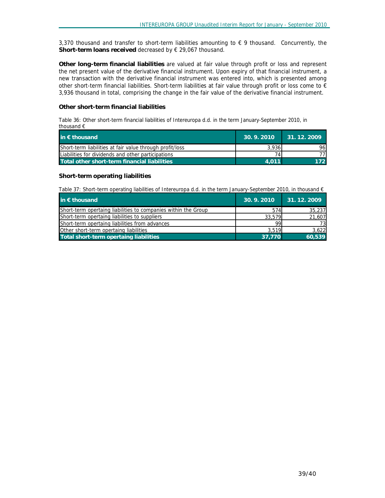3,370 thousand and transfer to short-term liabilities amounting to  $\epsilon$  9 thousand. Concurrently, the **Short-term loans received** decreased by € 29,067 thousand.

**Other long-term financial liabilities** are valued at fair value through profit or loss and represent the net present value of the derivative financial instrument. Upon expiry of that financial instrument, a new transaction with the derivative financial instrument was entered into, which is presented among other short-term financial liabilities. Short-term liabilities at fair value through profit or loss come to  $\epsilon$ 3,936 thousand in total, comprising the change in the fair value of the derivative financial instrument.

#### **Other short-term financial liabilities**

*Table 36: Other short-term financial liabilities of Intereuropa d.d. in the term January-September 2010, in thousand €* 

| in $\epsilon$ thousand                                   | 30.9.2010 | $1$ 31.12.2009 |
|----------------------------------------------------------|-----------|----------------|
| Short-term liabilities at fair value through profit/loss | 3.936     | 961            |
| Liabilities for dividends and other participations       |           | 77 I           |
| Total other short-term financial liabilities             | 4.011     | 172.           |

#### **Short-term operating liabilities**

*Table 37: Short-term operating liabilities of Intereuropa d.d. in the term January-September 2010, in thousand €* 

| in $\epsilon$ thousand                                         | 30.9.2010 | 31.12.2009 |
|----------------------------------------------------------------|-----------|------------|
| Short-term opertaing liabilities to companies within the Group | 574       | 35,237     |
| Short-term opertaing liabilities to suppliers                  | 33,579    | 21,607     |
| Short-term opertaing liabilities from advances                 | 99        | 73         |
| Other short-term opertaing liabilities                         | 3.519     | 3.622      |
| Total short-term opertaing liabilities                         | 37.770    | 60,539     |